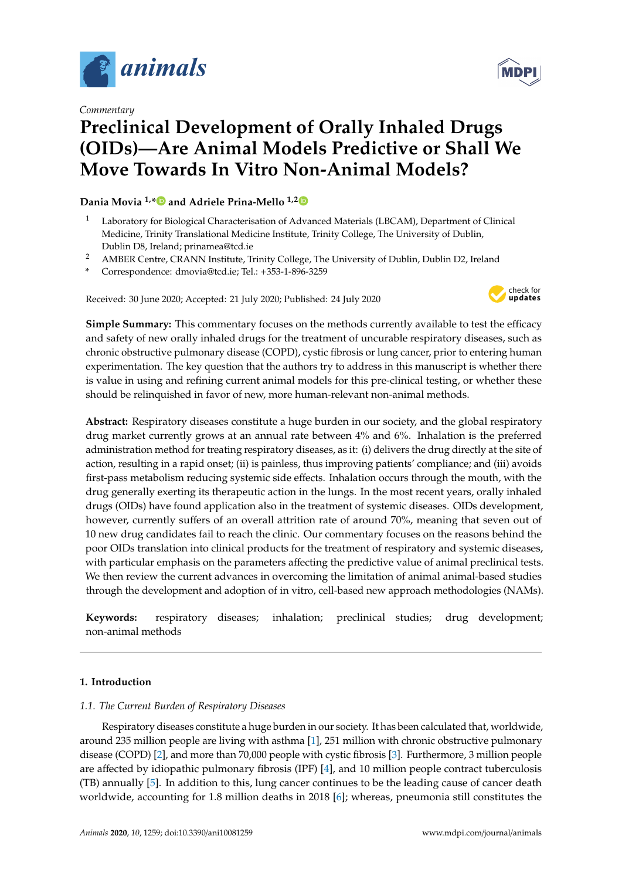

*Commentary*

# **MDP**

# **Preclinical Development of Orally Inhaled Drugs (OIDs)—Are Animal Models Predictive or Shall We Move Towards In Vitro Non-Animal Models?**

## **Dania Movia 1,[\\*](https://orcid.org/0000-0001-6412-8132) and Adriele Prina-Mello 1,[2](https://orcid.org/0000-0002-4371-2214)**

- <sup>1</sup> Laboratory for Biological Characterisation of Advanced Materials (LBCAM), Department of Clinical Medicine, Trinity Translational Medicine Institute, Trinity College, The University of Dublin, Dublin D8, Ireland; prinamea@tcd.ie
- <sup>2</sup> AMBER Centre, CRANN Institute, Trinity College, The University of Dublin, Dublin D2, Ireland
- **\*** Correspondence: dmovia@tcd.ie; Tel.: +353-1-896-3259

Received: 30 June 2020; Accepted: 21 July 2020; Published: 24 July 2020



**Simple Summary:** This commentary focuses on the methods currently available to test the efficacy and safety of new orally inhaled drugs for the treatment of uncurable respiratory diseases, such as chronic obstructive pulmonary disease (COPD), cystic fibrosis or lung cancer, prior to entering human experimentation. The key question that the authors try to address in this manuscript is whether there is value in using and refining current animal models for this pre-clinical testing, or whether these should be relinquished in favor of new, more human-relevant non-animal methods.

**Abstract:** Respiratory diseases constitute a huge burden in our society, and the global respiratory drug market currently grows at an annual rate between 4% and 6%. Inhalation is the preferred administration method for treating respiratory diseases, as it: (i) delivers the drug directly at the site of action, resulting in a rapid onset; (ii) is painless, thus improving patients' compliance; and (iii) avoids first-pass metabolism reducing systemic side effects. Inhalation occurs through the mouth, with the drug generally exerting its therapeutic action in the lungs. In the most recent years, orally inhaled drugs (OIDs) have found application also in the treatment of systemic diseases. OIDs development, however, currently suffers of an overall attrition rate of around 70%, meaning that seven out of 10 new drug candidates fail to reach the clinic. Our commentary focuses on the reasons behind the poor OIDs translation into clinical products for the treatment of respiratory and systemic diseases, with particular emphasis on the parameters affecting the predictive value of animal preclinical tests. We then review the current advances in overcoming the limitation of animal animal-based studies through the development and adoption of in vitro, cell-based new approach methodologies (NAMs).

**Keywords:** respiratory diseases; inhalation; preclinical studies; drug development; non-animal methods

# **1. Introduction**

### *1.1. The Current Burden of Respiratory Diseases*

Respiratory diseases constitute a huge burden in our society. It has been calculated that, worldwide, around 235 million people are living with asthma [\[1\]](#page-8-0), 251 million with chronic obstructive pulmonary disease (COPD) [\[2\]](#page-8-1), and more than 70,000 people with cystic fibrosis [\[3\]](#page-8-2). Furthermore, 3 million people are affected by idiopathic pulmonary fibrosis (IPF) [\[4\]](#page-8-3), and 10 million people contract tuberculosis (TB) annually [\[5\]](#page-8-4). In addition to this, lung cancer continues to be the leading cause of cancer death worldwide, accounting for 1.8 million deaths in 2018 [\[6\]](#page-8-5); whereas, pneumonia still constitutes the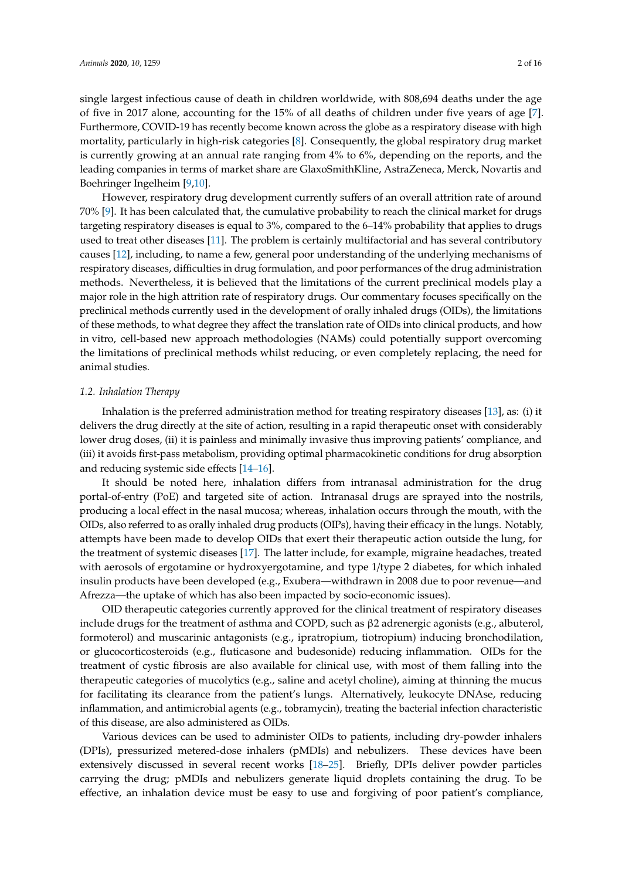single largest infectious cause of death in children worldwide, with 808,694 deaths under the age of five in 2017 alone, accounting for the 15% of all deaths of children under five years of age [\[7\]](#page-8-6). Furthermore, COVID-19 has recently become known across the globe as a respiratory disease with high mortality, particularly in high-risk categories [\[8\]](#page-8-7). Consequently, the global respiratory drug market is currently growing at an annual rate ranging from 4% to 6%, depending on the reports, and the leading companies in terms of market share are GlaxoSmithKline, AstraZeneca, Merck, Novartis and Boehringer Ingelheim [\[9](#page-8-8)[,10\]](#page-8-9).

However, respiratory drug development currently suffers of an overall attrition rate of around 70% [\[9\]](#page-8-8). It has been calculated that, the cumulative probability to reach the clinical market for drugs targeting respiratory diseases is equal to 3%, compared to the 6–14% probability that applies to drugs used to treat other diseases [\[11\]](#page-8-10). The problem is certainly multifactorial and has several contributory causes [\[12\]](#page-8-11), including, to name a few, general poor understanding of the underlying mechanisms of respiratory diseases, difficulties in drug formulation, and poor performances of the drug administration methods. Nevertheless, it is believed that the limitations of the current preclinical models play a major role in the high attrition rate of respiratory drugs. Our commentary focuses specifically on the preclinical methods currently used in the development of orally inhaled drugs (OIDs), the limitations of these methods, to what degree they affect the translation rate of OIDs into clinical products, and how in vitro, cell-based new approach methodologies (NAMs) could potentially support overcoming the limitations of preclinical methods whilst reducing, or even completely replacing, the need for animal studies.

#### *1.2. Inhalation Therapy*

Inhalation is the preferred administration method for treating respiratory diseases [\[13\]](#page-8-12), as: (i) it delivers the drug directly at the site of action, resulting in a rapid therapeutic onset with considerably lower drug doses, (ii) it is painless and minimally invasive thus improving patients' compliance, and (iii) it avoids first-pass metabolism, providing optimal pharmacokinetic conditions for drug absorption and reducing systemic side effects [\[14](#page-8-13)[–16\]](#page-9-0).

It should be noted here, inhalation differs from intranasal administration for the drug portal-of-entry (PoE) and targeted site of action. Intranasal drugs are sprayed into the nostrils, producing a local effect in the nasal mucosa; whereas, inhalation occurs through the mouth, with the OIDs, also referred to as orally inhaled drug products (OIPs), having their efficacy in the lungs. Notably, attempts have been made to develop OIDs that exert their therapeutic action outside the lung, for the treatment of systemic diseases [\[17\]](#page-9-1). The latter include, for example, migraine headaches, treated with aerosols of ergotamine or hydroxyergotamine, and type 1/type 2 diabetes, for which inhaled insulin products have been developed (e.g., Exubera—withdrawn in 2008 due to poor revenue—and Afrezza—the uptake of which has also been impacted by socio-economic issues).

OID therapeutic categories currently approved for the clinical treatment of respiratory diseases include drugs for the treatment of asthma and COPD, such as β2 adrenergic agonists (e.g., albuterol, formoterol) and muscarinic antagonists (e.g., ipratropium, tiotropium) inducing bronchodilation, or glucocorticosteroids (e.g., fluticasone and budesonide) reducing inflammation. OIDs for the treatment of cystic fibrosis are also available for clinical use, with most of them falling into the therapeutic categories of mucolytics (e.g., saline and acetyl choline), aiming at thinning the mucus for facilitating its clearance from the patient's lungs. Alternatively, leukocyte DNAse, reducing inflammation, and antimicrobial agents (e.g., tobramycin), treating the bacterial infection characteristic of this disease, are also administered as OIDs.

Various devices can be used to administer OIDs to patients, including dry-powder inhalers (DPIs), pressurized metered-dose inhalers (pMDIs) and nebulizers. These devices have been extensively discussed in several recent works [\[18](#page-9-2)[–25\]](#page-9-3). Briefly, DPIs deliver powder particles carrying the drug; pMDIs and nebulizers generate liquid droplets containing the drug. To be effective, an inhalation device must be easy to use and forgiving of poor patient's compliance,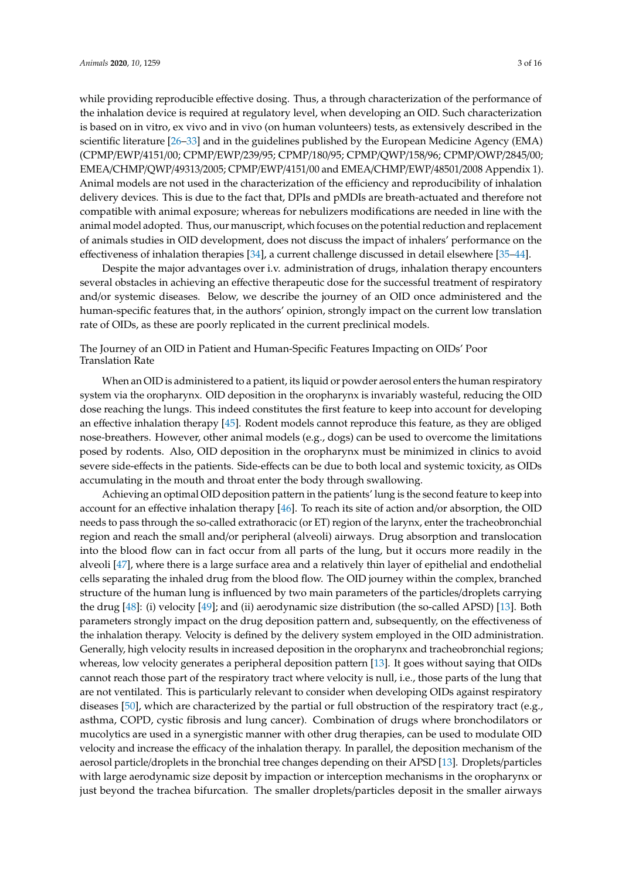EMEA/CHMP/QWP/49313/2005; CPMP/EWP/4151/00 and EMEA/CHMP/EWP/48501/2008 Appendix 1). Animal models are not used in the characterization of the efficiency and reproducibility of inhalation delivery devices. This is due to the fact that, DPIs and pMDIs are breath-actuated and therefore not compatible with animal exposure; whereas for nebulizers modifications are needed in line with the animal model adopted. Thus, our manuscript, which focuses on the potential reduction and replacement of animals studies in OID development, does not discuss the impact of inhalers' performance on the effectiveness of inhalation therapies [\[34\]](#page-9-6), a current challenge discussed in detail elsewhere [\[35–](#page-9-7)[44\]](#page-10-0).

Despite the major advantages over i.v. administration of drugs, inhalation therapy encounters several obstacles in achieving an effective therapeutic dose for the successful treatment of respiratory and/or systemic diseases. Below, we describe the journey of an OID once administered and the human-specific features that, in the authors' opinion, strongly impact on the current low translation rate of OIDs, as these are poorly replicated in the current preclinical models.

The Journey of an OID in Patient and Human-Specific Features Impacting on OIDs' Poor Translation Rate

When an OID is administered to a patient, its liquid or powder aerosol enters the human respiratory system via the oropharynx. OID deposition in the oropharynx is invariably wasteful, reducing the OID dose reaching the lungs. This indeed constitutes the first feature to keep into account for developing an effective inhalation therapy [\[45\]](#page-10-1). Rodent models cannot reproduce this feature, as they are obliged nose-breathers. However, other animal models (e.g., dogs) can be used to overcome the limitations posed by rodents. Also, OID deposition in the oropharynx must be minimized in clinics to avoid severe side-effects in the patients. Side-effects can be due to both local and systemic toxicity, as OIDs accumulating in the mouth and throat enter the body through swallowing.

Achieving an optimal OID deposition pattern in the patients' lung is the second feature to keep into account for an effective inhalation therapy [\[46\]](#page-10-2). To reach its site of action and/or absorption, the OID needs to pass through the so-called extrathoracic (or ET) region of the larynx, enter the tracheobronchial region and reach the small and/or peripheral (alveoli) airways. Drug absorption and translocation into the blood flow can in fact occur from all parts of the lung, but it occurs more readily in the alveoli [\[47\]](#page-10-3), where there is a large surface area and a relatively thin layer of epithelial and endothelial cells separating the inhaled drug from the blood flow. The OID journey within the complex, branched structure of the human lung is influenced by two main parameters of the particles/droplets carrying the drug [\[48\]](#page-10-4): (i) velocity [\[49\]](#page-10-5); and (ii) aerodynamic size distribution (the so-called APSD) [\[13\]](#page-8-12). Both parameters strongly impact on the drug deposition pattern and, subsequently, on the effectiveness of the inhalation therapy. Velocity is defined by the delivery system employed in the OID administration. Generally, high velocity results in increased deposition in the oropharynx and tracheobronchial regions; whereas, low velocity generates a peripheral deposition pattern [\[13\]](#page-8-12). It goes without saying that OIDs cannot reach those part of the respiratory tract where velocity is null, i.e., those parts of the lung that are not ventilated. This is particularly relevant to consider when developing OIDs against respiratory diseases [\[50\]](#page-10-6), which are characterized by the partial or full obstruction of the respiratory tract (e.g., asthma, COPD, cystic fibrosis and lung cancer). Combination of drugs where bronchodilators or mucolytics are used in a synergistic manner with other drug therapies, can be used to modulate OID velocity and increase the efficacy of the inhalation therapy. In parallel, the deposition mechanism of the aerosol particle/droplets in the bronchial tree changes depending on their APSD [\[13\]](#page-8-12). Droplets/particles with large aerodynamic size deposit by impaction or interception mechanisms in the oropharynx or just beyond the trachea bifurcation. The smaller droplets/particles deposit in the smaller airways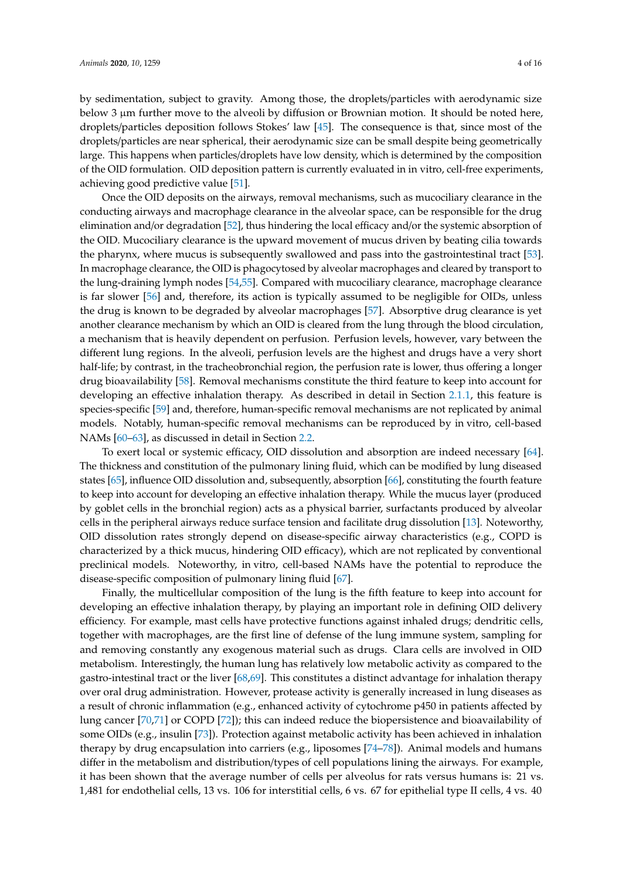by sedimentation, subject to gravity. Among those, the droplets/particles with aerodynamic size below 3  $\mu$ m further move to the alveoli by diffusion or Brownian motion. It should be noted here, droplets/particles deposition follows Stokes' law [\[45\]](#page-10-1). The consequence is that, since most of the droplets/particles are near spherical, their aerodynamic size can be small despite being geometrically large. This happens when particles/droplets have low density, which is determined by the composition of the OID formulation. OID deposition pattern is currently evaluated in in vitro, cell-free experiments, achieving good predictive value [\[51\]](#page-10-7).

Once the OID deposits on the airways, removal mechanisms, such as mucociliary clearance in the conducting airways and macrophage clearance in the alveolar space, can be responsible for the drug elimination and/or degradation [\[52\]](#page-10-8), thus hindering the local efficacy and/or the systemic absorption of the OID. Mucociliary clearance is the upward movement of mucus driven by beating cilia towards the pharynx, where mucus is subsequently swallowed and pass into the gastrointestinal tract [\[53\]](#page-10-9). In macrophage clearance, the OID is phagocytosed by alveolar macrophages and cleared by transport to the lung-draining lymph nodes [\[54](#page-10-10)[,55\]](#page-10-11). Compared with mucociliary clearance, macrophage clearance is far slower [\[56\]](#page-10-12) and, therefore, its action is typically assumed to be negligible for OIDs, unless the drug is known to be degraded by alveolar macrophages [\[57\]](#page-11-0). Absorptive drug clearance is yet another clearance mechanism by which an OID is cleared from the lung through the blood circulation, a mechanism that is heavily dependent on perfusion. Perfusion levels, however, vary between the different lung regions. In the alveoli, perfusion levels are the highest and drugs have a very short half-life; by contrast, in the tracheobronchial region, the perfusion rate is lower, thus offering a longer drug bioavailability [\[58\]](#page-11-1). Removal mechanisms constitute the third feature to keep into account for developing an effective inhalation therapy. As described in detail in Section [2.1.1,](#page-4-0) this feature is species-specific [\[59\]](#page-11-2) and, therefore, human-specific removal mechanisms are not replicated by animal models. Notably, human-specific removal mechanisms can be reproduced by in vitro, cell-based NAMs [\[60–](#page-11-3)[63\]](#page-11-4), as discussed in detail in Section [2.2.](#page-5-0)

To exert local or systemic efficacy, OID dissolution and absorption are indeed necessary [\[64\]](#page-11-5). The thickness and constitution of the pulmonary lining fluid, which can be modified by lung diseased states [\[65\]](#page-11-6), influence OID dissolution and, subsequently, absorption [\[66\]](#page-11-7), constituting the fourth feature to keep into account for developing an effective inhalation therapy. While the mucus layer (produced by goblet cells in the bronchial region) acts as a physical barrier, surfactants produced by alveolar cells in the peripheral airways reduce surface tension and facilitate drug dissolution [\[13\]](#page-8-12). Noteworthy, OID dissolution rates strongly depend on disease-specific airway characteristics (e.g., COPD is characterized by a thick mucus, hindering OID efficacy), which are not replicated by conventional preclinical models. Noteworthy, in vitro, cell-based NAMs have the potential to reproduce the disease-specific composition of pulmonary lining fluid [\[67\]](#page-11-8).

Finally, the multicellular composition of the lung is the fifth feature to keep into account for developing an effective inhalation therapy, by playing an important role in defining OID delivery efficiency. For example, mast cells have protective functions against inhaled drugs; dendritic cells, together with macrophages, are the first line of defense of the lung immune system, sampling for and removing constantly any exogenous material such as drugs. Clara cells are involved in OID metabolism. Interestingly, the human lung has relatively low metabolic activity as compared to the gastro-intestinal tract or the liver [\[68,](#page-11-9)[69\]](#page-11-10). This constitutes a distinct advantage for inhalation therapy over oral drug administration. However, protease activity is generally increased in lung diseases as a result of chronic inflammation (e.g., enhanced activity of cytochrome p450 in patients affected by lung cancer [\[70,](#page-11-11)[71\]](#page-11-12) or COPD [\[72\]](#page-11-13)); this can indeed reduce the biopersistence and bioavailability of some OIDs (e.g., insulin [\[73\]](#page-11-14)). Protection against metabolic activity has been achieved in inhalation therapy by drug encapsulation into carriers (e.g., liposomes [\[74–](#page-11-15)[78\]](#page-12-0)). Animal models and humans differ in the metabolism and distribution/types of cell populations lining the airways. For example, it has been shown that the average number of cells per alveolus for rats versus humans is: 21 vs. 1,481 for endothelial cells, 13 vs. 106 for interstitial cells, 6 vs. 67 for epithelial type II cells, 4 vs. 40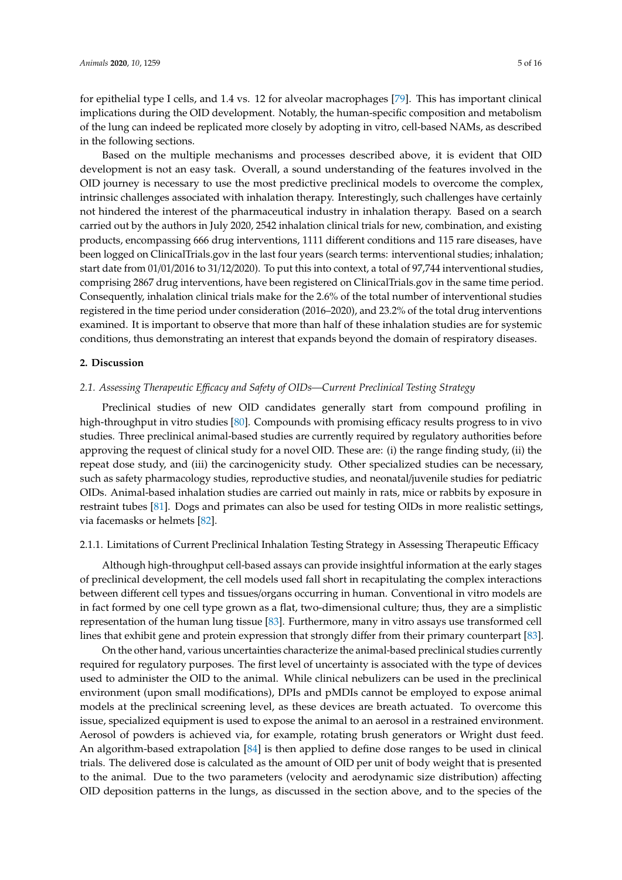for epithelial type I cells, and 1.4 vs. 12 for alveolar macrophages [\[79\]](#page-12-1). This has important clinical implications during the OID development. Notably, the human-specific composition and metabolism of the lung can indeed be replicated more closely by adopting in vitro, cell-based NAMs, as described in the following sections.

Based on the multiple mechanisms and processes described above, it is evident that OID development is not an easy task. Overall, a sound understanding of the features involved in the OID journey is necessary to use the most predictive preclinical models to overcome the complex, intrinsic challenges associated with inhalation therapy. Interestingly, such challenges have certainly not hindered the interest of the pharmaceutical industry in inhalation therapy. Based on a search carried out by the authors in July 2020, 2542 inhalation clinical trials for new, combination, and existing products, encompassing 666 drug interventions, 1111 different conditions and 115 rare diseases, have been logged on ClinicalTrials.gov in the last four years (search terms: interventional studies; inhalation; start date from 01/01/2016 to 31/12/2020). To put this into context, a total of 97,744 interventional studies, comprising 2867 drug interventions, have been registered on ClinicalTrials.gov in the same time period. Consequently, inhalation clinical trials make for the 2.6% of the total number of interventional studies registered in the time period under consideration (2016–2020), and 23.2% of the total drug interventions examined. It is important to observe that more than half of these inhalation studies are for systemic conditions, thus demonstrating an interest that expands beyond the domain of respiratory diseases.

#### **2. Discussion**

#### *2.1. Assessing Therapeutic E*ffi*cacy and Safety of OIDs—Current Preclinical Testing Strategy*

Preclinical studies of new OID candidates generally start from compound profiling in high-throughput in vitro studies [\[80\]](#page-12-2). Compounds with promising efficacy results progress to in vivo studies. Three preclinical animal-based studies are currently required by regulatory authorities before approving the request of clinical study for a novel OID. These are: (i) the range finding study, (ii) the repeat dose study, and (iii) the carcinogenicity study. Other specialized studies can be necessary, such as safety pharmacology studies, reproductive studies, and neonatal/juvenile studies for pediatric OIDs. Animal-based inhalation studies are carried out mainly in rats, mice or rabbits by exposure in restraint tubes [\[81\]](#page-12-3). Dogs and primates can also be used for testing OIDs in more realistic settings, via facemasks or helmets [\[82\]](#page-12-4).

#### <span id="page-4-0"></span>2.1.1. Limitations of Current Preclinical Inhalation Testing Strategy in Assessing Therapeutic Efficacy

Although high-throughput cell-based assays can provide insightful information at the early stages of preclinical development, the cell models used fall short in recapitulating the complex interactions between different cell types and tissues/organs occurring in human. Conventional in vitro models are in fact formed by one cell type grown as a flat, two-dimensional culture; thus, they are a simplistic representation of the human lung tissue [\[83\]](#page-12-5). Furthermore, many in vitro assays use transformed cell lines that exhibit gene and protein expression that strongly differ from their primary counterpart [\[83\]](#page-12-5).

On the other hand, various uncertainties characterize the animal-based preclinical studies currently required for regulatory purposes. The first level of uncertainty is associated with the type of devices used to administer the OID to the animal. While clinical nebulizers can be used in the preclinical environment (upon small modifications), DPIs and pMDIs cannot be employed to expose animal models at the preclinical screening level, as these devices are breath actuated. To overcome this issue, specialized equipment is used to expose the animal to an aerosol in a restrained environment. Aerosol of powders is achieved via, for example, rotating brush generators or Wright dust feed. An algorithm-based extrapolation [\[84\]](#page-12-6) is then applied to define dose ranges to be used in clinical trials. The delivered dose is calculated as the amount of OID per unit of body weight that is presented to the animal. Due to the two parameters (velocity and aerodynamic size distribution) affecting OID deposition patterns in the lungs, as discussed in the section above, and to the species of the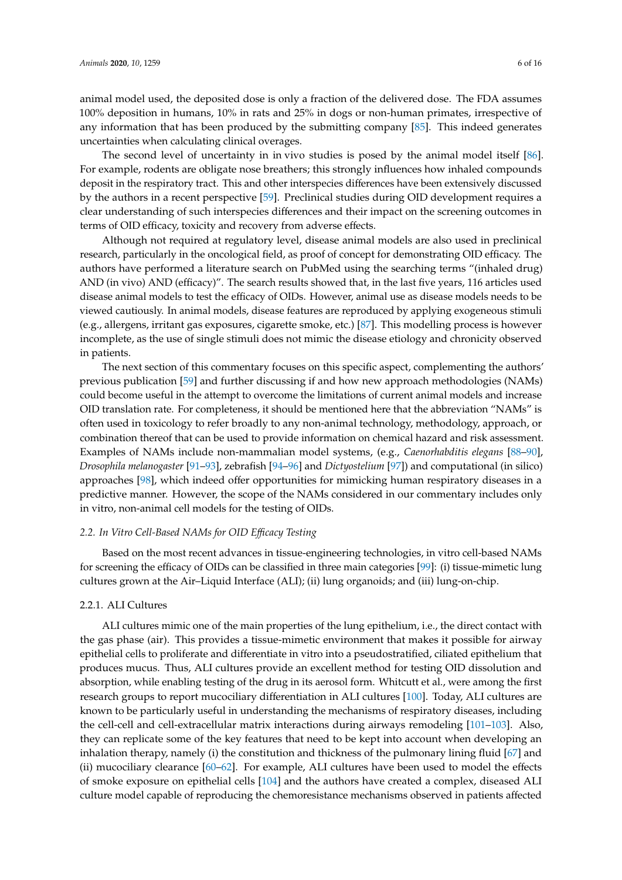animal model used, the deposited dose is only a fraction of the delivered dose. The FDA assumes 100% deposition in humans, 10% in rats and 25% in dogs or non-human primates, irrespective of any information that has been produced by the submitting company [\[85\]](#page-12-7). This indeed generates uncertainties when calculating clinical overages.

The second level of uncertainty in in vivo studies is posed by the animal model itself [\[86\]](#page-12-8). For example, rodents are obligate nose breathers; this strongly influences how inhaled compounds deposit in the respiratory tract. This and other interspecies differences have been extensively discussed by the authors in a recent perspective [\[59\]](#page-11-2). Preclinical studies during OID development requires a clear understanding of such interspecies differences and their impact on the screening outcomes in terms of OID efficacy, toxicity and recovery from adverse effects.

Although not required at regulatory level, disease animal models are also used in preclinical research, particularly in the oncological field, as proof of concept for demonstrating OID efficacy. The authors have performed a literature search on PubMed using the searching terms "(inhaled drug) AND (in vivo) AND (efficacy)". The search results showed that, in the last five years, 116 articles used disease animal models to test the efficacy of OIDs. However, animal use as disease models needs to be viewed cautiously. In animal models, disease features are reproduced by applying exogeneous stimuli (e.g., allergens, irritant gas exposures, cigarette smoke, etc.) [\[87\]](#page-12-9). This modelling process is however incomplete, as the use of single stimuli does not mimic the disease etiology and chronicity observed in patients.

The next section of this commentary focuses on this specific aspect, complementing the authors' previous publication [\[59\]](#page-11-2) and further discussing if and how new approach methodologies (NAMs) could become useful in the attempt to overcome the limitations of current animal models and increase OID translation rate. For completeness, it should be mentioned here that the abbreviation "NAMs" is often used in toxicology to refer broadly to any non-animal technology, methodology, approach, or combination thereof that can be used to provide information on chemical hazard and risk assessment. Examples of NAMs include non-mammalian model systems, (e.g., *Caenorhabditis elegans* [\[88](#page-12-10)[–90\]](#page-12-11), *Drosophila melanogaster* [\[91–](#page-12-12)[93\]](#page-12-13), zebrafish [\[94–](#page-12-14)[96\]](#page-12-15) and *Dictyostelium* [\[97\]](#page-12-16)) and computational (in silico) approaches [\[98\]](#page-13-0), which indeed offer opportunities for mimicking human respiratory diseases in a predictive manner. However, the scope of the NAMs considered in our commentary includes only in vitro, non-animal cell models for the testing of OIDs.

#### <span id="page-5-0"></span>*2.2. In Vitro Cell-Based NAMs for OID E*ffi*cacy Testing*

Based on the most recent advances in tissue-engineering technologies, in vitro cell-based NAMs for screening the efficacy of OIDs can be classified in three main categories [\[99\]](#page-13-1): (i) tissue-mimetic lung cultures grown at the Air–Liquid Interface (ALI); (ii) lung organoids; and (iii) lung-on-chip.

#### 2.2.1. ALI Cultures

ALI cultures mimic one of the main properties of the lung epithelium, i.e., the direct contact with the gas phase (air). This provides a tissue-mimetic environment that makes it possible for airway epithelial cells to proliferate and differentiate in vitro into a pseudostratified, ciliated epithelium that produces mucus. Thus, ALI cultures provide an excellent method for testing OID dissolution and absorption, while enabling testing of the drug in its aerosol form. Whitcutt et al., were among the first research groups to report mucociliary differentiation in ALI cultures [\[100\]](#page-13-2). Today, ALI cultures are known to be particularly useful in understanding the mechanisms of respiratory diseases, including the cell-cell and cell-extracellular matrix interactions during airways remodeling [\[101–](#page-13-3)[103\]](#page-13-4). Also, they can replicate some of the key features that need to be kept into account when developing an inhalation therapy, namely (i) the constitution and thickness of the pulmonary lining fluid [\[67\]](#page-11-8) and (ii) mucociliary clearance [\[60–](#page-11-3)[62\]](#page-11-16). For example, ALI cultures have been used to model the effects of smoke exposure on epithelial cells [\[104\]](#page-13-5) and the authors have created a complex, diseased ALI culture model capable of reproducing the chemoresistance mechanisms observed in patients affected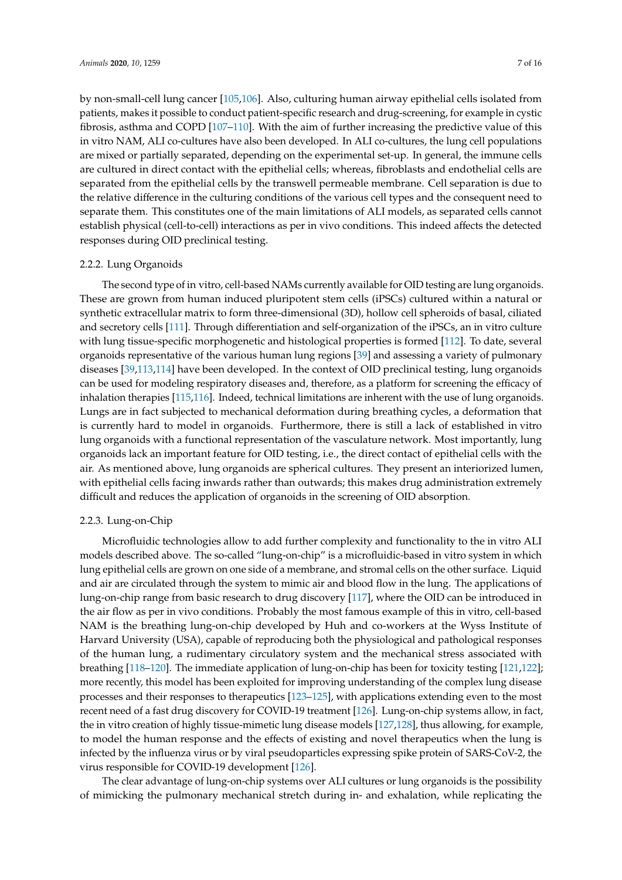by non-small-cell lung cancer [\[105](#page-13-6)[,106\]](#page-13-7). Also, culturing human airway epithelial cells isolated from patients, makes it possible to conduct patient-specific research and drug-screening, for example in cystic fibrosis, asthma and COPD [\[107–](#page-13-8)[110\]](#page-13-9). With the aim of further increasing the predictive value of this in vitro NAM, ALI co-cultures have also been developed. In ALI co-cultures, the lung cell populations are mixed or partially separated, depending on the experimental set-up. In general, the immune cells are cultured in direct contact with the epithelial cells; whereas, fibroblasts and endothelial cells are separated from the epithelial cells by the transwell permeable membrane. Cell separation is due to the relative difference in the culturing conditions of the various cell types and the consequent need to separate them. This constitutes one of the main limitations of ALI models, as separated cells cannot establish physical (cell-to-cell) interactions as per in vivo conditions. This indeed affects the detected responses during OID preclinical testing.

#### 2.2.2. Lung Organoids

The second type of in vitro, cell-based NAMs currently available for OID testing are lung organoids. These are grown from human induced pluripotent stem cells (iPSCs) cultured within a natural or synthetic extracellular matrix to form three-dimensional (3D), hollow cell spheroids of basal, ciliated and secretory cells [\[111\]](#page-13-10). Through differentiation and self-organization of the iPSCs, an in vitro culture with lung tissue-specific morphogenetic and histological properties is formed [\[112\]](#page-13-11). To date, several organoids representative of the various human lung regions [\[39\]](#page-10-13) and assessing a variety of pulmonary diseases [\[39,](#page-10-13)[113,](#page-13-12)[114\]](#page-13-13) have been developed. In the context of OID preclinical testing, lung organoids can be used for modeling respiratory diseases and, therefore, as a platform for screening the efficacy of inhalation therapies [\[115](#page-13-14)[,116\]](#page-14-0). Indeed, technical limitations are inherent with the use of lung organoids. Lungs are in fact subjected to mechanical deformation during breathing cycles, a deformation that is currently hard to model in organoids. Furthermore, there is still a lack of established in vitro lung organoids with a functional representation of the vasculature network. Most importantly, lung organoids lack an important feature for OID testing, i.e., the direct contact of epithelial cells with the air. As mentioned above, lung organoids are spherical cultures. They present an interiorized lumen, with epithelial cells facing inwards rather than outwards; this makes drug administration extremely difficult and reduces the application of organoids in the screening of OID absorption.

#### 2.2.3. Lung-on-Chip

Microfluidic technologies allow to add further complexity and functionality to the in vitro ALI models described above. The so-called "lung-on-chip" is a microfluidic-based in vitro system in which lung epithelial cells are grown on one side of a membrane, and stromal cells on the other surface. Liquid and air are circulated through the system to mimic air and blood flow in the lung. The applications of lung-on-chip range from basic research to drug discovery [\[117\]](#page-14-1), where the OID can be introduced in the air flow as per in vivo conditions. Probably the most famous example of this in vitro, cell-based NAM is the breathing lung-on-chip developed by Huh and co-workers at the Wyss Institute of Harvard University (USA), capable of reproducing both the physiological and pathological responses of the human lung, a rudimentary circulatory system and the mechanical stress associated with breathing [\[118–](#page-14-2)[120\]](#page-14-3). The immediate application of lung-on-chip has been for toxicity testing [\[121](#page-14-4)[,122\]](#page-14-5); more recently, this model has been exploited for improving understanding of the complex lung disease processes and their responses to therapeutics [\[123–](#page-14-6)[125\]](#page-14-7), with applications extending even to the most recent need of a fast drug discovery for COVID-19 treatment [\[126\]](#page-14-8). Lung-on-chip systems allow, in fact, the in vitro creation of highly tissue-mimetic lung disease models [\[127,](#page-14-9)[128\]](#page-14-10), thus allowing, for example, to model the human response and the effects of existing and novel therapeutics when the lung is infected by the influenza virus or by viral pseudoparticles expressing spike protein of SARS-CoV-2, the virus responsible for COVID-19 development [\[126\]](#page-14-8).

The clear advantage of lung-on-chip systems over ALI cultures or lung organoids is the possibility of mimicking the pulmonary mechanical stretch during in- and exhalation, while replicating the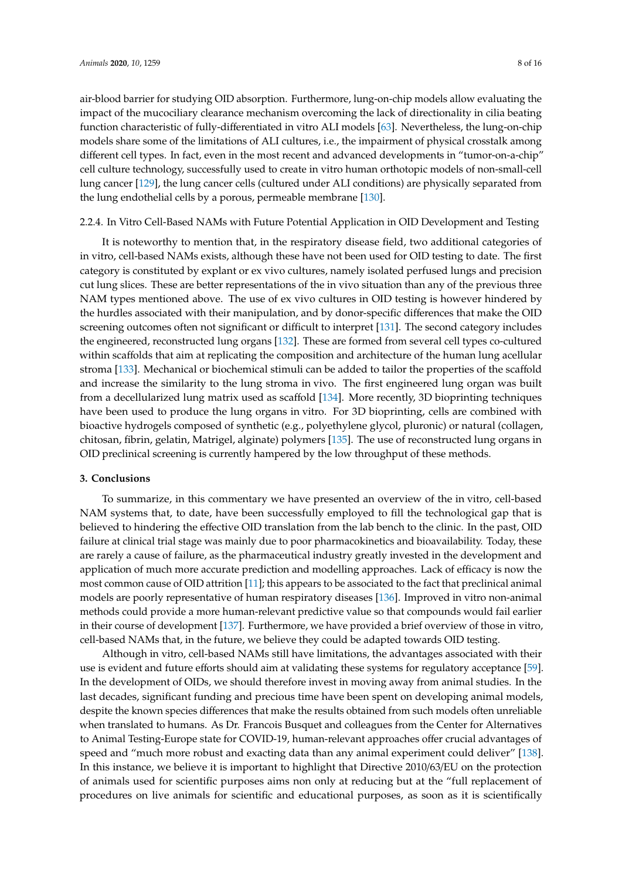air-blood barrier for studying OID absorption. Furthermore, lung-on-chip models allow evaluating the impact of the mucociliary clearance mechanism overcoming the lack of directionality in cilia beating function characteristic of fully-differentiated in vitro ALI models [\[63\]](#page-11-4). Nevertheless, the lung-on-chip models share some of the limitations of ALI cultures, i.e., the impairment of physical crosstalk among different cell types. In fact, even in the most recent and advanced developments in "tumor-on-a-chip" cell culture technology, successfully used to create in vitro human orthotopic models of non-small-cell lung cancer [\[129\]](#page-14-11), the lung cancer cells (cultured under ALI conditions) are physically separated from the lung endothelial cells by a porous, permeable membrane [\[130\]](#page-14-12).

#### 2.2.4. In Vitro Cell-Based NAMs with Future Potential Application in OID Development and Testing

It is noteworthy to mention that, in the respiratory disease field, two additional categories of in vitro, cell-based NAMs exists, although these have not been used for OID testing to date. The first category is constituted by explant or ex vivo cultures, namely isolated perfused lungs and precision cut lung slices. These are better representations of the in vivo situation than any of the previous three NAM types mentioned above. The use of ex vivo cultures in OID testing is however hindered by the hurdles associated with their manipulation, and by donor-specific differences that make the OID screening outcomes often not significant or difficult to interpret [\[131\]](#page-14-13). The second category includes the engineered, reconstructed lung organs [\[132\]](#page-14-14). These are formed from several cell types co-cultured within scaffolds that aim at replicating the composition and architecture of the human lung acellular stroma [\[133\]](#page-14-15). Mechanical or biochemical stimuli can be added to tailor the properties of the scaffold and increase the similarity to the lung stroma in vivo. The first engineered lung organ was built from a decellularized lung matrix used as scaffold [\[134\]](#page-14-16). More recently, 3D bioprinting techniques have been used to produce the lung organs in vitro. For 3D bioprinting, cells are combined with bioactive hydrogels composed of synthetic (e.g., polyethylene glycol, pluronic) or natural (collagen, chitosan, fibrin, gelatin, Matrigel, alginate) polymers [\[135\]](#page-14-17). The use of reconstructed lung organs in OID preclinical screening is currently hampered by the low throughput of these methods.

#### **3. Conclusions**

To summarize, in this commentary we have presented an overview of the in vitro, cell-based NAM systems that, to date, have been successfully employed to fill the technological gap that is believed to hindering the effective OID translation from the lab bench to the clinic. In the past, OID failure at clinical trial stage was mainly due to poor pharmacokinetics and bioavailability. Today, these are rarely a cause of failure, as the pharmaceutical industry greatly invested in the development and application of much more accurate prediction and modelling approaches. Lack of efficacy is now the most common cause of OID attrition [\[11\]](#page-8-10); this appears to be associated to the fact that preclinical animal models are poorly representative of human respiratory diseases [\[136\]](#page-15-0). Improved in vitro non-animal methods could provide a more human-relevant predictive value so that compounds would fail earlier in their course of development [\[137\]](#page-15-1). Furthermore, we have provided a brief overview of those in vitro, cell-based NAMs that, in the future, we believe they could be adapted towards OID testing.

Although in vitro, cell-based NAMs still have limitations, the advantages associated with their use is evident and future efforts should aim at validating these systems for regulatory acceptance [\[59\]](#page-11-2). In the development of OIDs, we should therefore invest in moving away from animal studies. In the last decades, significant funding and precious time have been spent on developing animal models, despite the known species differences that make the results obtained from such models often unreliable when translated to humans. As Dr. Francois Busquet and colleagues from the Center for Alternatives to Animal Testing-Europe state for COVID-19, human-relevant approaches offer crucial advantages of speed and "much more robust and exacting data than any animal experiment could deliver" [\[138\]](#page-15-2). In this instance, we believe it is important to highlight that Directive 2010/63/EU on the protection of animals used for scientific purposes aims non only at reducing but at the "full replacement of procedures on live animals for scientific and educational purposes, as soon as it is scientifically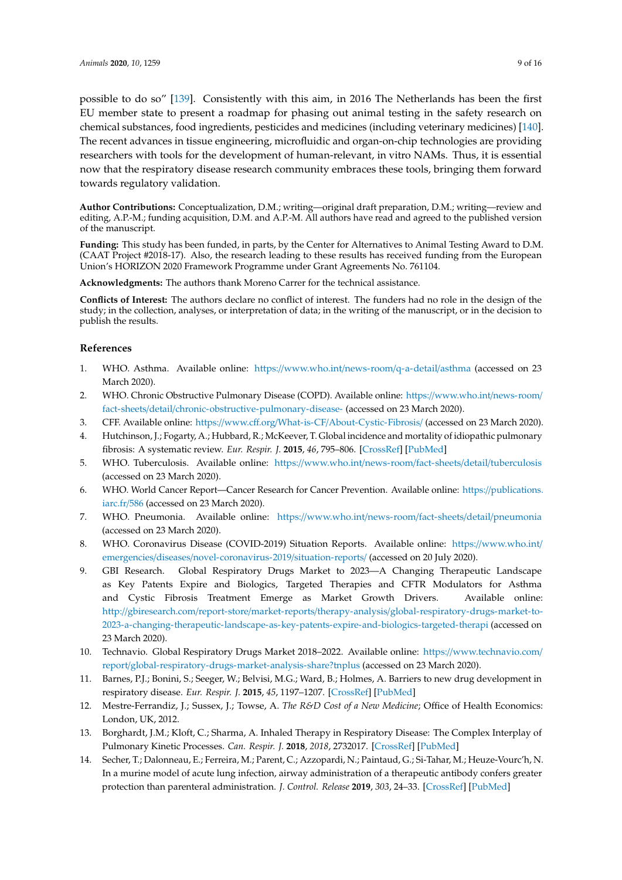EU member state to present a roadmap for phasing out animal testing in the safety research on chemical substances, food ingredients, pesticides and medicines (including veterinary medicines) [\[140\]](#page-15-4). The recent advances in tissue engineering, microfluidic and organ-on-chip technologies are providing researchers with tools for the development of human-relevant, in vitro NAMs. Thus, it is essential now that the respiratory disease research community embraces these tools, bringing them forward towards regulatory validation.

**Author Contributions:** Conceptualization, D.M.; writing—original draft preparation, D.M.; writing—review and editing, A.P.-M.; funding acquisition, D.M. and A.P.-M. All authors have read and agreed to the published version of the manuscript.

**Funding:** This study has been funded, in parts, by the Center for Alternatives to Animal Testing Award to D.M. (CAAT Project #2018-17). Also, the research leading to these results has received funding from the European Union's HORIZON 2020 Framework Programme under Grant Agreements No. 761104.

**Acknowledgments:** The authors thank Moreno Carrer for the technical assistance.

**Conflicts of Interest:** The authors declare no conflict of interest. The funders had no role in the design of the study; in the collection, analyses, or interpretation of data; in the writing of the manuscript, or in the decision to publish the results.

#### **References**

- <span id="page-8-0"></span>1. WHO. Asthma. Available online: https://[www.who.int](https://www.who.int/news-room/q-a-detail/asthma)/news-room/q-a-detail/asthma (accessed on 23 March 2020).
- <span id="page-8-1"></span>2. WHO. Chronic Obstructive Pulmonary Disease (COPD). Available online: https://[www.who.int](https://www.who.int/news-room/fact-sheets/detail/chronic-obstructive-pulmonary-disease-)/news-room/ fact-sheets/detail/[chronic-obstructive-pulmonary-disease-](https://www.who.int/news-room/fact-sheets/detail/chronic-obstructive-pulmonary-disease-) (accessed on 23 March 2020).
- <span id="page-8-2"></span>3. CFF. Available online: https://www.cff.org/What-is-CF/[About-Cystic-Fibrosis](https://www.cff.org/What-is-CF/About-Cystic-Fibrosis/)/ (accessed on 23 March 2020).
- <span id="page-8-3"></span>4. Hutchinson, J.; Fogarty, A.; Hubbard, R.; McKeever, T. Global incidence and mortality of idiopathic pulmonary fibrosis: A systematic review. *Eur. Respir. J.* **2015**, *46*, 795–806. [\[CrossRef\]](http://dx.doi.org/10.1183/09031936.00185114) [\[PubMed\]](http://www.ncbi.nlm.nih.gov/pubmed/25976683)
- <span id="page-8-4"></span>5. WHO. Tuberculosis. Available online: https://[www.who.int](https://www.who.int/news-room/fact-sheets/detail/tuberculosis)/news-room/fact-sheets/detail/tuberculosis (accessed on 23 March 2020).
- <span id="page-8-5"></span>6. WHO. World Cancer Report—Cancer Research for Cancer Prevention. Available online: https://[publications.](https://publications.iarc.fr/586) [iarc.fr](https://publications.iarc.fr/586)/586 (accessed on 23 March 2020).
- <span id="page-8-6"></span>7. WHO. Pneumonia. Available online: https://[www.who.int](https://www.who.int/news-room/fact-sheets/detail/pneumonia)/news-room/fact-sheets/detail/pneumonia (accessed on 23 March 2020).
- <span id="page-8-7"></span>8. WHO. Coronavirus Disease (COVID-2019) Situation Reports. Available online: https://[www.who.int](https://www.who.int/emergencies/diseases/novel-coronavirus-2019/situation-reports/)/ emergencies/diseases/[novel-coronavirus-2019](https://www.who.int/emergencies/diseases/novel-coronavirus-2019/situation-reports/)/situation-reports/ (accessed on 20 July 2020).
- <span id="page-8-8"></span>9. GBI Research. Global Respiratory Drugs Market to 2023—A Changing Therapeutic Landscape as Key Patents Expire and Biologics, Targeted Therapies and CFTR Modulators for Asthma and Cystic Fibrosis Treatment Emerge as Market Growth Drivers. Available online: http://gbiresearch.com/report-store/market-reports/therapy-analysis/[global-respiratory-drugs-market-to-](http://gbiresearch.com/report-store/market-reports/therapy-analysis/global-respiratory-drugs-market-to-2023-a-changing-therapeutic-landscape-as-key-patents-expire-and-biologics-targeted-therapi)[2023-a-changing-therapeutic-landscape-as-key-patents-expire-and-biologics-targeted-therapi](http://gbiresearch.com/report-store/market-reports/therapy-analysis/global-respiratory-drugs-market-to-2023-a-changing-therapeutic-landscape-as-key-patents-expire-and-biologics-targeted-therapi) (accessed on 23 March 2020).
- <span id="page-8-9"></span>10. Technavio. Global Respiratory Drugs Market 2018–2022. Available online: https://[www.technavio.com](https://www.technavio.com/report/global-respiratory-drugs-market-analysis-share?tnplus)/ report/[global-respiratory-drugs-market-analysis-share?tnplus](https://www.technavio.com/report/global-respiratory-drugs-market-analysis-share?tnplus) (accessed on 23 March 2020).
- <span id="page-8-10"></span>11. Barnes, P.J.; Bonini, S.; Seeger, W.; Belvisi, M.G.; Ward, B.; Holmes, A. Barriers to new drug development in respiratory disease. *Eur. Respir. J.* **2015**, *45*, 1197–1207. [\[CrossRef\]](http://dx.doi.org/10.1183/09031936.00007915) [\[PubMed\]](http://www.ncbi.nlm.nih.gov/pubmed/25931481)
- <span id="page-8-11"></span>12. Mestre-Ferrandiz, J.; Sussex, J.; Towse, A. *The R&D Cost of a New Medicine*; Office of Health Economics: London, UK, 2012.
- <span id="page-8-12"></span>13. Borghardt, J.M.; Kloft, C.; Sharma, A. Inhaled Therapy in Respiratory Disease: The Complex Interplay of Pulmonary Kinetic Processes. *Can. Respir. J.* **2018**, *2018*, 2732017. [\[CrossRef\]](http://dx.doi.org/10.1155/2018/2732017) [\[PubMed\]](http://www.ncbi.nlm.nih.gov/pubmed/30018677)
- <span id="page-8-13"></span>14. Secher, T.; Dalonneau, E.; Ferreira, M.; Parent, C.; Azzopardi, N.; Paintaud, G.; Si-Tahar, M.; Heuze-Vourc'h, N. In a murine model of acute lung infection, airway administration of a therapeutic antibody confers greater protection than parenteral administration. *J. Control. Release* **2019**, *303*, 24–33. [\[CrossRef\]](http://dx.doi.org/10.1016/j.jconrel.2019.04.005) [\[PubMed\]](http://www.ncbi.nlm.nih.gov/pubmed/30981816)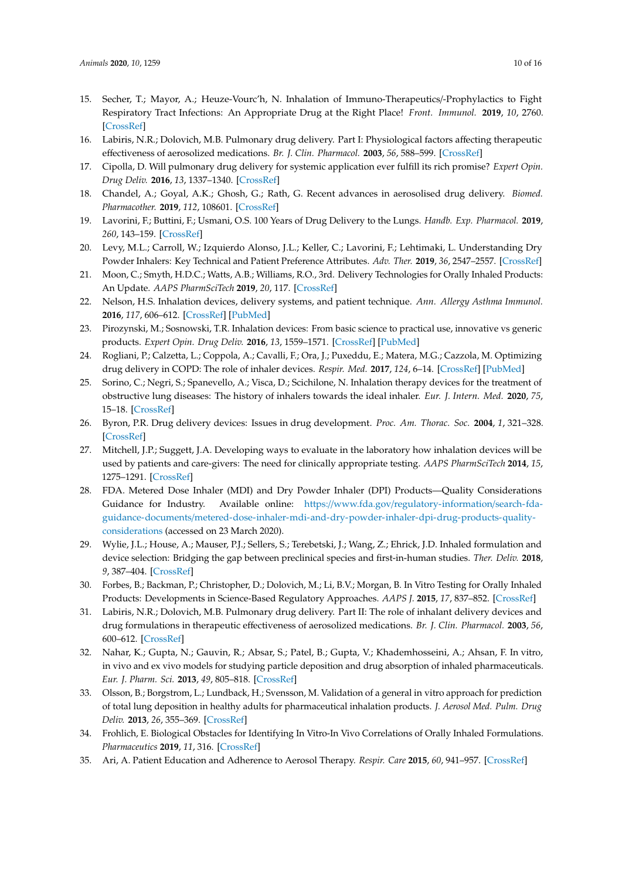- 15. Secher, T.; Mayor, A.; Heuze-Vourc'h, N. Inhalation of Immuno-Therapeutics/-Prophylactics to Fight Respiratory Tract Infections: An Appropriate Drug at the Right Place! *Front. Immunol.* **2019**, *10*, 2760. [\[CrossRef\]](http://dx.doi.org/10.3389/fimmu.2019.02760)
- <span id="page-9-0"></span>16. Labiris, N.R.; Dolovich, M.B. Pulmonary drug delivery. Part I: Physiological factors affecting therapeutic effectiveness of aerosolized medications. *Br. J. Clin. Pharmacol.* **2003**, *56*, 588–599. [\[CrossRef\]](http://dx.doi.org/10.1046/j.1365-2125.2003.01892.x)
- <span id="page-9-1"></span>17. Cipolla, D. Will pulmonary drug delivery for systemic application ever fulfill its rich promise? *Expert Opin. Drug Deliv.* **2016**, *13*, 1337–1340. [\[CrossRef\]](http://dx.doi.org/10.1080/17425247.2016.1218466)
- <span id="page-9-2"></span>18. Chandel, A.; Goyal, A.K.; Ghosh, G.; Rath, G. Recent advances in aerosolised drug delivery. *Biomed. Pharmacother.* **2019**, *112*, 108601. [\[CrossRef\]](http://dx.doi.org/10.1016/j.biopha.2019.108601)
- 19. Lavorini, F.; Buttini, F.; Usmani, O.S. 100 Years of Drug Delivery to the Lungs. *Handb. Exp. Pharmacol.* **2019**, *260*, 143–159. [\[CrossRef\]](http://dx.doi.org/10.1007/164_2019_335)
- 20. Levy, M.L.; Carroll, W.; Izquierdo Alonso, J.L.; Keller, C.; Lavorini, F.; Lehtimaki, L. Understanding Dry Powder Inhalers: Key Technical and Patient Preference Attributes. *Adv. Ther.* **2019**, *36*, 2547–2557. [\[CrossRef\]](http://dx.doi.org/10.1007/s12325-019-01066-6)
- 21. Moon, C.; Smyth, H.D.C.; Watts, A.B.; Williams, R.O., 3rd. Delivery Technologies for Orally Inhaled Products: An Update. *AAPS PharmSciTech* **2019**, *20*, 117. [\[CrossRef\]](http://dx.doi.org/10.1208/s12249-019-1314-2)
- 22. Nelson, H.S. Inhalation devices, delivery systems, and patient technique. *Ann. Allergy Asthma Immunol.* **2016**, *117*, 606–612. [\[CrossRef\]](http://dx.doi.org/10.1016/j.anai.2016.05.006) [\[PubMed\]](http://www.ncbi.nlm.nih.gov/pubmed/27979017)
- 23. Pirozynski, M.; Sosnowski, T.R. Inhalation devices: From basic science to practical use, innovative vs generic products. *Expert Opin. Drug Deliv.* **2016**, *13*, 1559–1571. [\[CrossRef\]](http://dx.doi.org/10.1080/17425247.2016.1198774) [\[PubMed\]](http://www.ncbi.nlm.nih.gov/pubmed/27267298)
- 24. Rogliani, P.; Calzetta, L.; Coppola, A.; Cavalli, F.; Ora, J.; Puxeddu, E.; Matera, M.G.; Cazzola, M. Optimizing drug delivery in COPD: The role of inhaler devices. *Respir. Med.* **2017**, *124*, 6–14. [\[CrossRef\]](http://dx.doi.org/10.1016/j.rmed.2017.01.006) [\[PubMed\]](http://www.ncbi.nlm.nih.gov/pubmed/28284323)
- <span id="page-9-3"></span>25. Sorino, C.; Negri, S.; Spanevello, A.; Visca, D.; Scichilone, N. Inhalation therapy devices for the treatment of obstructive lung diseases: The history of inhalers towards the ideal inhaler. *Eur. J. Intern. Med.* **2020**, *75*, 15–18. [\[CrossRef\]](http://dx.doi.org/10.1016/j.ejim.2020.02.023)
- <span id="page-9-4"></span>26. Byron, P.R. Drug delivery devices: Issues in drug development. *Proc. Am. Thorac. Soc.* **2004**, *1*, 321–328. [\[CrossRef\]](http://dx.doi.org/10.1513/pats.200403-023MS)
- 27. Mitchell, J.P.; Suggett, J.A. Developing ways to evaluate in the laboratory how inhalation devices will be used by patients and care-givers: The need for clinically appropriate testing. *AAPS PharmSciTech* **2014**, *15*, 1275–1291. [\[CrossRef\]](http://dx.doi.org/10.1208/s12249-014-0145-4)
- 28. FDA. Metered Dose Inhaler (MDI) and Dry Powder Inhaler (DPI) Products—Quality Considerations Guidance for Industry. Available online: https://www.fda.gov/[regulatory-information](https://www.fda.gov/regulatory-information/search-fda-guidance-documents/metered-dose-inhaler-mdi-and-dry-powder-inhaler-dpi-drug-products-quality-considerations)/search-fdaguidance-documents/[metered-dose-inhaler-mdi-and-dry-powder-inhaler-dpi-drug-products-quality](https://www.fda.gov/regulatory-information/search-fda-guidance-documents/metered-dose-inhaler-mdi-and-dry-powder-inhaler-dpi-drug-products-quality-considerations)[considerations](https://www.fda.gov/regulatory-information/search-fda-guidance-documents/metered-dose-inhaler-mdi-and-dry-powder-inhaler-dpi-drug-products-quality-considerations) (accessed on 23 March 2020).
- 29. Wylie, J.L.; House, A.; Mauser, P.J.; Sellers, S.; Terebetski, J.; Wang, Z.; Ehrick, J.D. Inhaled formulation and device selection: Bridging the gap between preclinical species and first-in-human studies. *Ther. Deliv.* **2018**, *9*, 387–404. [\[CrossRef\]](http://dx.doi.org/10.4155/tde-2000-0000)
- 30. Forbes, B.; Backman, P.; Christopher, D.; Dolovich, M.; Li, B.V.; Morgan, B. In Vitro Testing for Orally Inhaled Products: Developments in Science-Based Regulatory Approaches. *AAPS J.* **2015**, *17*, 837–852. [\[CrossRef\]](http://dx.doi.org/10.1208/s12248-015-9763-3)
- 31. Labiris, N.R.; Dolovich, M.B. Pulmonary drug delivery. Part II: The role of inhalant delivery devices and drug formulations in therapeutic effectiveness of aerosolized medications. *Br. J. Clin. Pharmacol.* **2003**, *56*, 600–612. [\[CrossRef\]](http://dx.doi.org/10.1046/j.1365-2125.2003.01893.x)
- 32. Nahar, K.; Gupta, N.; Gauvin, R.; Absar, S.; Patel, B.; Gupta, V.; Khademhosseini, A.; Ahsan, F. In vitro, in vivo and ex vivo models for studying particle deposition and drug absorption of inhaled pharmaceuticals. *Eur. J. Pharm. Sci.* **2013**, *49*, 805–818. [\[CrossRef\]](http://dx.doi.org/10.1016/j.ejps.2013.06.004)
- <span id="page-9-5"></span>33. Olsson, B.; Borgstrom, L.; Lundback, H.; Svensson, M. Validation of a general in vitro approach for prediction of total lung deposition in healthy adults for pharmaceutical inhalation products. *J. Aerosol Med. Pulm. Drug Deliv.* **2013**, *26*, 355–369. [\[CrossRef\]](http://dx.doi.org/10.1089/jamp.2012.0986)
- <span id="page-9-6"></span>34. Frohlich, E. Biological Obstacles for Identifying In Vitro-In Vivo Correlations of Orally Inhaled Formulations. *Pharmaceutics* **2019**, *11*, 316. [\[CrossRef\]](http://dx.doi.org/10.3390/pharmaceutics11070316)
- <span id="page-9-7"></span>35. Ari, A. Patient Education and Adherence to Aerosol Therapy. *Respir. Care* **2015**, *60*, 941–957. [\[CrossRef\]](http://dx.doi.org/10.4187/respcare.03854)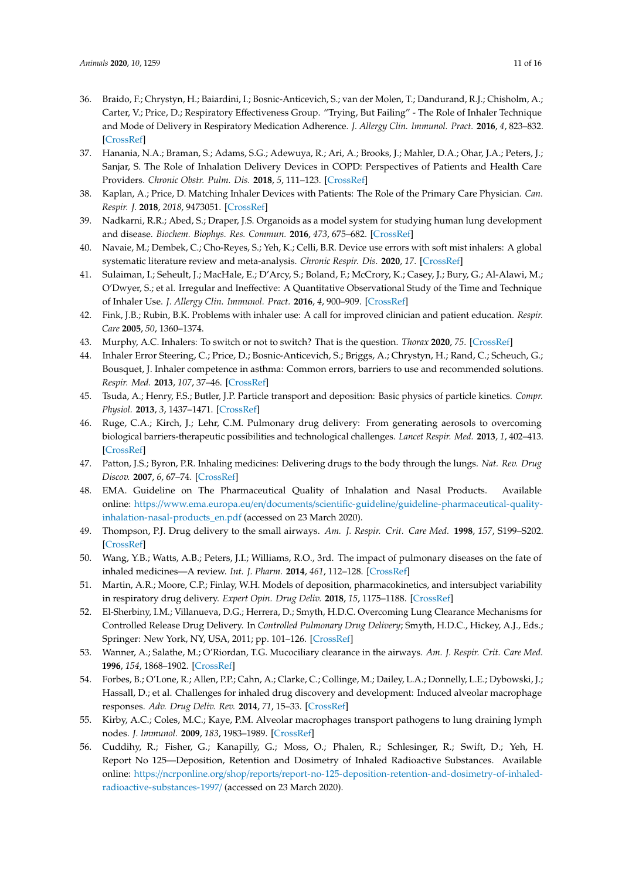- 36. Braido, F.; Chrystyn, H.; Baiardini, I.; Bosnic-Anticevich, S.; van der Molen, T.; Dandurand, R.J.; Chisholm, A.; Carter, V.; Price, D.; Respiratory Effectiveness Group. "Trying, But Failing" - The Role of Inhaler Technique and Mode of Delivery in Respiratory Medication Adherence. *J. Allergy Clin. Immunol. Pract.* **2016**, *4*, 823–832. [\[CrossRef\]](http://dx.doi.org/10.1016/j.jaip.2016.03.002)
- 37. Hanania, N.A.; Braman, S.; Adams, S.G.; Adewuya, R.; Ari, A.; Brooks, J.; Mahler, D.A.; Ohar, J.A.; Peters, J.; Sanjar, S. The Role of Inhalation Delivery Devices in COPD: Perspectives of Patients and Health Care Providers. *Chronic Obstr. Pulm. Dis.* **2018**, *5*, 111–123. [\[CrossRef\]](http://dx.doi.org/10.15326/jcopdf.5.2.2017.0168)
- 38. Kaplan, A.; Price, D. Matching Inhaler Devices with Patients: The Role of the Primary Care Physician. *Can. Respir. J.* **2018**, *2018*, 9473051. [\[CrossRef\]](http://dx.doi.org/10.1155/2018/9473051)
- <span id="page-10-13"></span>39. Nadkarni, R.R.; Abed, S.; Draper, J.S. Organoids as a model system for studying human lung development and disease. *Biochem. Biophys. Res. Commun.* **2016**, *473*, 675–682. [\[CrossRef\]](http://dx.doi.org/10.1016/j.bbrc.2015.12.091)
- 40. Navaie, M.; Dembek, C.; Cho-Reyes, S.; Yeh, K.; Celli, B.R. Device use errors with soft mist inhalers: A global systematic literature review and meta-analysis. *Chronic Respir. Dis.* **2020**, *17*. [\[CrossRef\]](http://dx.doi.org/10.1177/1479973119901234)
- 41. Sulaiman, I.; Seheult, J.; MacHale, E.; D'Arcy, S.; Boland, F.; McCrory, K.; Casey, J.; Bury, G.; Al-Alawi, M.; O'Dwyer, S.; et al. Irregular and Ineffective: A Quantitative Observational Study of the Time and Technique of Inhaler Use. *J. Allergy Clin. Immunol. Pract.* **2016**, *4*, 900–909. [\[CrossRef\]](http://dx.doi.org/10.1016/j.jaip.2016.07.009)
- 42. Fink, J.B.; Rubin, B.K. Problems with inhaler use: A call for improved clinician and patient education. *Respir. Care* **2005**, *50*, 1360–1374.
- <span id="page-10-0"></span>43. Murphy, A.C. Inhalers: To switch or not to switch? That is the question. *Thorax* **2020**, *75*. [\[CrossRef\]](http://dx.doi.org/10.1136/thoraxjnl-2019-214220)
- 44. Inhaler Error Steering, C.; Price, D.; Bosnic-Anticevich, S.; Briggs, A.; Chrystyn, H.; Rand, C.; Scheuch, G.; Bousquet, J. Inhaler competence in asthma: Common errors, barriers to use and recommended solutions. *Respir. Med.* **2013**, *107*, 37–46. [\[CrossRef\]](http://dx.doi.org/10.1016/j.rmed.2012.09.017)
- <span id="page-10-1"></span>45. Tsuda, A.; Henry, F.S.; Butler, J.P. Particle transport and deposition: Basic physics of particle kinetics. *Compr. Physiol.* **2013**, *3*, 1437–1471. [\[CrossRef\]](http://dx.doi.org/10.1002/cphy.c100085)
- <span id="page-10-2"></span>46. Ruge, C.A.; Kirch, J.; Lehr, C.M. Pulmonary drug delivery: From generating aerosols to overcoming biological barriers-therapeutic possibilities and technological challenges. *Lancet Respir. Med.* **2013**, *1*, 402–413. [\[CrossRef\]](http://dx.doi.org/10.1016/S2213-2600(13)70072-9)
- <span id="page-10-3"></span>47. Patton, J.S.; Byron, P.R. Inhaling medicines: Delivering drugs to the body through the lungs. *Nat. Rev. Drug Discov.* **2007**, *6*, 67–74. [\[CrossRef\]](http://dx.doi.org/10.1038/nrd2153)
- <span id="page-10-4"></span>48. EMA. Guideline on The Pharmaceutical Quality of Inhalation and Nasal Products. Available online: https://www.ema.europa.eu/en/documents/scientific-guideline/[guideline-pharmaceutical-quality](https://www.ema.europa.eu/en/documents/scientific-guideline/guideline-pharmaceutical-quality-inhalation-nasal-products_en.pdf)[inhalation-nasal-products\\_en.pdf](https://www.ema.europa.eu/en/documents/scientific-guideline/guideline-pharmaceutical-quality-inhalation-nasal-products_en.pdf) (accessed on 23 March 2020).
- <span id="page-10-5"></span>49. Thompson, P.J. Drug delivery to the small airways. *Am. J. Respir. Crit. Care Med.* **1998**, *157*, S199–S202. [\[CrossRef\]](http://dx.doi.org/10.1164/ajrccm.157.5.rsaa-7)
- <span id="page-10-6"></span>50. Wang, Y.B.; Watts, A.B.; Peters, J.I.; Williams, R.O., 3rd. The impact of pulmonary diseases on the fate of inhaled medicines—A review. *Int. J. Pharm.* **2014**, *461*, 112–128. [\[CrossRef\]](http://dx.doi.org/10.1016/j.ijpharm.2013.11.042)
- <span id="page-10-7"></span>51. Martin, A.R.; Moore, C.P.; Finlay, W.H. Models of deposition, pharmacokinetics, and intersubject variability in respiratory drug delivery. *Expert Opin. Drug Deliv.* **2018**, *15*, 1175–1188. [\[CrossRef\]](http://dx.doi.org/10.1080/17425247.2018.1544616)
- <span id="page-10-8"></span>52. El-Sherbiny, I.M.; Villanueva, D.G.; Herrera, D.; Smyth, H.D.C. Overcoming Lung Clearance Mechanisms for Controlled Release Drug Delivery. In *Controlled Pulmonary Drug Delivery*; Smyth, H.D.C., Hickey, A.J., Eds.; Springer: New York, NY, USA, 2011; pp. 101–126. [\[CrossRef\]](http://dx.doi.org/10.1007/978-1-4419-9745-6)
- <span id="page-10-9"></span>53. Wanner, A.; Salathe, M.; O'Riordan, T.G. Mucociliary clearance in the airways. *Am. J. Respir. Crit. Care Med.* **1996**, *154*, 1868–1902. [\[CrossRef\]](http://dx.doi.org/10.1164/ajrccm.154.6.8970383)
- <span id="page-10-10"></span>54. Forbes, B.; O'Lone, R.; Allen, P.P.; Cahn, A.; Clarke, C.; Collinge, M.; Dailey, L.A.; Donnelly, L.E.; Dybowski, J.; Hassall, D.; et al. Challenges for inhaled drug discovery and development: Induced alveolar macrophage responses. *Adv. Drug Deliv. Rev.* **2014**, *71*, 15–33. [\[CrossRef\]](http://dx.doi.org/10.1016/j.addr.2014.02.001)
- <span id="page-10-11"></span>55. Kirby, A.C.; Coles, M.C.; Kaye, P.M. Alveolar macrophages transport pathogens to lung draining lymph nodes. *J. Immunol.* **2009**, *183*, 1983–1989. [\[CrossRef\]](http://dx.doi.org/10.4049/jimmunol.0901089)
- <span id="page-10-12"></span>56. Cuddihy, R.; Fisher, G.; Kanapilly, G.; Moss, O.; Phalen, R.; Schlesinger, R.; Swift, D.; Yeh, H. Report No 125—Deposition, Retention and Dosimetry of Inhaled Radioactive Substances. Available online: https://ncrponline.org/shop/reports/[report-no-125-deposition-retention-and-dosimetry-of-inhaled](https://ncrponline.org/shop/reports/report-no-125-deposition-retention-and-dosimetry-of-inhaled-radioactive-substances-1997/)[radioactive-substances-1997](https://ncrponline.org/shop/reports/report-no-125-deposition-retention-and-dosimetry-of-inhaled-radioactive-substances-1997/)/ (accessed on 23 March 2020).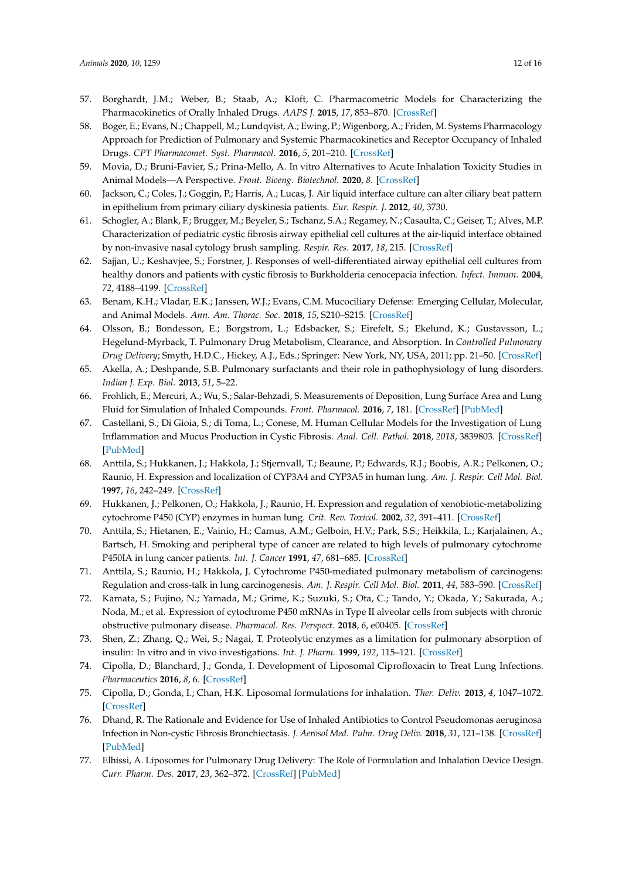- <span id="page-11-0"></span>57. Borghardt, J.M.; Weber, B.; Staab, A.; Kloft, C. Pharmacometric Models for Characterizing the Pharmacokinetics of Orally Inhaled Drugs. *AAPS J.* **2015**, *17*, 853–870. [\[CrossRef\]](http://dx.doi.org/10.1208/s12248-015-9760-6)
- <span id="page-11-1"></span>58. Boger, E.; Evans, N.; Chappell, M.; Lundqvist, A.; Ewing, P.; Wigenborg, A.; Friden, M. Systems Pharmacology Approach for Prediction of Pulmonary and Systemic Pharmacokinetics and Receptor Occupancy of Inhaled Drugs. *CPT Pharmacomet. Syst. Pharmacol.* **2016**, *5*, 201–210. [\[CrossRef\]](http://dx.doi.org/10.1002/psp4.12074)
- <span id="page-11-2"></span>59. Movia, D.; Bruni-Favier, S.; Prina-Mello, A. In vitro Alternatives to Acute Inhalation Toxicity Studies in Animal Models—A Perspective. *Front. Bioeng. Biotechnol.* **2020**, *8*. [\[CrossRef\]](http://dx.doi.org/10.3389/fbioe.2020.00549)
- <span id="page-11-3"></span>60. Jackson, C.; Coles, J.; Goggin, P.; Harris, A.; Lucas, J. Air liquid interface culture can alter ciliary beat pattern in epithelium from primary ciliary dyskinesia patients. *Eur. Respir. J.* **2012**, *40*, 3730.
- 61. Schogler, A.; Blank, F.; Brugger, M.; Beyeler, S.; Tschanz, S.A.; Regamey, N.; Casaulta, C.; Geiser, T.; Alves, M.P. Characterization of pediatric cystic fibrosis airway epithelial cell cultures at the air-liquid interface obtained by non-invasive nasal cytology brush sampling. *Respir. Res.* **2017**, *18*, 215. [\[CrossRef\]](http://dx.doi.org/10.1186/s12931-017-0706-7)
- <span id="page-11-16"></span>62. Sajjan, U.; Keshavjee, S.; Forstner, J. Responses of well-differentiated airway epithelial cell cultures from healthy donors and patients with cystic fibrosis to Burkholderia cenocepacia infection. *Infect. Immun.* **2004**, *72*, 4188–4199. [\[CrossRef\]](http://dx.doi.org/10.1128/IAI.72.7.4188-4199.2004)
- <span id="page-11-4"></span>63. Benam, K.H.; Vladar, E.K.; Janssen, W.J.; Evans, C.M. Mucociliary Defense: Emerging Cellular, Molecular, and Animal Models. *Ann. Am. Thorac. Soc.* **2018**, *15*, S210–S215. [\[CrossRef\]](http://dx.doi.org/10.1513/AnnalsATS.201806-439AW)
- <span id="page-11-5"></span>64. Olsson, B.; Bondesson, E.; Borgstrom, L.; Edsbacker, S.; Eirefelt, S.; Ekelund, K.; Gustavsson, L.; Hegelund-Myrback, T. Pulmonary Drug Metabolism, Clearance, and Absorption. In *Controlled Pulmonary Drug Delivery*; Smyth, H.D.C., Hickey, A.J., Eds.; Springer: New York, NY, USA, 2011; pp. 21–50. [\[CrossRef\]](http://dx.doi.org/10.1007/978-1-4419-9745-6)
- <span id="page-11-6"></span>65. Akella, A.; Deshpande, S.B. Pulmonary surfactants and their role in pathophysiology of lung disorders. *Indian J. Exp. Biol.* **2013**, *51*, 5–22.
- <span id="page-11-7"></span>66. Frohlich, E.; Mercuri, A.; Wu, S.; Salar-Behzadi, S. Measurements of Deposition, Lung Surface Area and Lung Fluid for Simulation of Inhaled Compounds. *Front. Pharmacol.* **2016**, *7*, 181. [\[CrossRef\]](http://dx.doi.org/10.3389/fphar.2016.00181) [\[PubMed\]](http://www.ncbi.nlm.nih.gov/pubmed/27445817)
- <span id="page-11-8"></span>67. Castellani, S.; Di Gioia, S.; di Toma, L.; Conese, M. Human Cellular Models for the Investigation of Lung Inflammation and Mucus Production in Cystic Fibrosis. *Anal. Cell. Pathol.* **2018**, *2018*, 3839803. [\[CrossRef\]](http://dx.doi.org/10.1155/2018/3839803) [\[PubMed\]](http://www.ncbi.nlm.nih.gov/pubmed/30581723)
- <span id="page-11-9"></span>68. Anttila, S.; Hukkanen, J.; Hakkola, J.; Stjernvall, T.; Beaune, P.; Edwards, R.J.; Boobis, A.R.; Pelkonen, O.; Raunio, H. Expression and localization of CYP3A4 and CYP3A5 in human lung. *Am. J. Respir. Cell Mol. Biol.* **1997**, *16*, 242–249. [\[CrossRef\]](http://dx.doi.org/10.1165/ajrcmb.16.3.9070608)
- <span id="page-11-10"></span>69. Hukkanen, J.; Pelkonen, O.; Hakkola, J.; Raunio, H. Expression and regulation of xenobiotic-metabolizing cytochrome P450 (CYP) enzymes in human lung. *Crit. Rev. Toxicol.* **2002**, *32*, 391–411. [\[CrossRef\]](http://dx.doi.org/10.1080/20024091064273)
- <span id="page-11-11"></span>70. Anttila, S.; Hietanen, E.; Vainio, H.; Camus, A.M.; Gelboin, H.V.; Park, S.S.; Heikkila, L.; Karjalainen, A.; Bartsch, H. Smoking and peripheral type of cancer are related to high levels of pulmonary cytochrome P450IA in lung cancer patients. *Int. J. Cancer* **1991**, *47*, 681–685. [\[CrossRef\]](http://dx.doi.org/10.1002/ijc.2910470509)
- <span id="page-11-12"></span>71. Anttila, S.; Raunio, H.; Hakkola, J. Cytochrome P450-mediated pulmonary metabolism of carcinogens: Regulation and cross-talk in lung carcinogenesis. *Am. J. Respir. Cell Mol. Biol.* **2011**, *44*, 583–590. [\[CrossRef\]](http://dx.doi.org/10.1165/rcmb.2010-0189RT)
- <span id="page-11-13"></span>72. Kamata, S.; Fujino, N.; Yamada, M.; Grime, K.; Suzuki, S.; Ota, C.; Tando, Y.; Okada, Y.; Sakurada, A.; Noda, M.; et al. Expression of cytochrome P450 mRNAs in Type II alveolar cells from subjects with chronic obstructive pulmonary disease. *Pharmacol. Res. Perspect.* **2018**, *6*, e00405. [\[CrossRef\]](http://dx.doi.org/10.1002/prp2.405)
- <span id="page-11-14"></span>73. Shen, Z.; Zhang, Q.; Wei, S.; Nagai, T. Proteolytic enzymes as a limitation for pulmonary absorption of insulin: In vitro and in vivo investigations. *Int. J. Pharm.* **1999**, *192*, 115–121. [\[CrossRef\]](http://dx.doi.org/10.1016/S0378-5173(99)00295-1)
- <span id="page-11-15"></span>74. Cipolla, D.; Blanchard, J.; Gonda, I. Development of Liposomal Ciprofloxacin to Treat Lung Infections. *Pharmaceutics* **2016**, *8*, 6. [\[CrossRef\]](http://dx.doi.org/10.3390/pharmaceutics8010006)
- 75. Cipolla, D.; Gonda, I.; Chan, H.K. Liposomal formulations for inhalation. *Ther. Deliv.* **2013**, *4*, 1047–1072. [\[CrossRef\]](http://dx.doi.org/10.4155/tde.13.71)
- 76. Dhand, R. The Rationale and Evidence for Use of Inhaled Antibiotics to Control Pseudomonas aeruginosa Infection in Non-cystic Fibrosis Bronchiectasis. *J. Aerosol Med. Pulm. Drug Deliv.* **2018**, *31*, 121–138. [\[CrossRef\]](http://dx.doi.org/10.1089/jamp.2017.1415) [\[PubMed\]](http://www.ncbi.nlm.nih.gov/pubmed/29077527)
- 77. Elhissi, A. Liposomes for Pulmonary Drug Delivery: The Role of Formulation and Inhalation Device Design. *Curr. Pharm. Des.* **2017**, *23*, 362–372. [\[CrossRef\]](http://dx.doi.org/10.2174/1381612823666161116114732) [\[PubMed\]](http://www.ncbi.nlm.nih.gov/pubmed/27848886)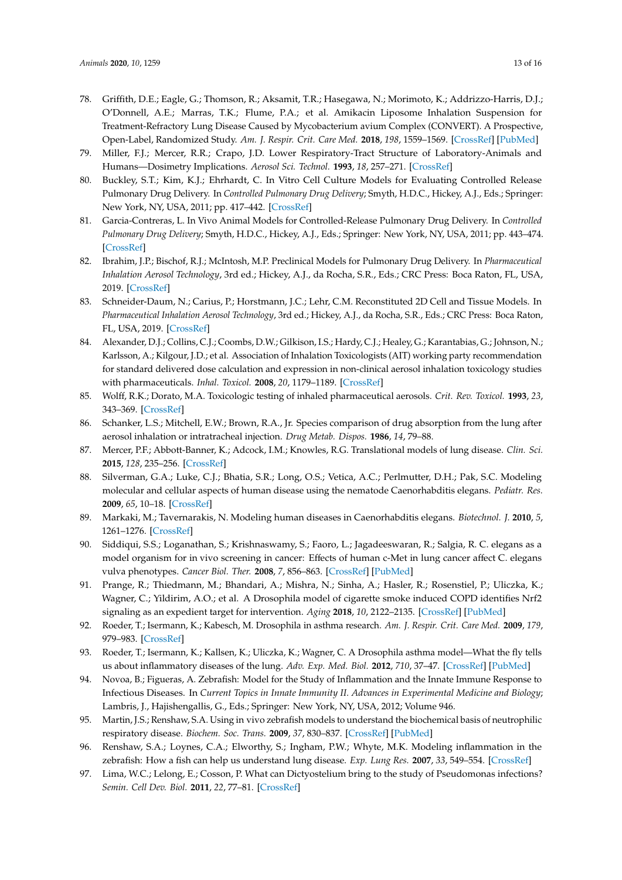- <span id="page-12-0"></span>78. Griffith, D.E.; Eagle, G.; Thomson, R.; Aksamit, T.R.; Hasegawa, N.; Morimoto, K.; Addrizzo-Harris, D.J.; O'Donnell, A.E.; Marras, T.K.; Flume, P.A.; et al. Amikacin Liposome Inhalation Suspension for Treatment-Refractory Lung Disease Caused by Mycobacterium avium Complex (CONVERT). A Prospective, Open-Label, Randomized Study. *Am. J. Respir. Crit. Care Med.* **2018**, *198*, 1559–1569. [\[CrossRef\]](http://dx.doi.org/10.1164/rccm.201807-1318OC) [\[PubMed\]](http://www.ncbi.nlm.nih.gov/pubmed/30216086)
- <span id="page-12-1"></span>79. Miller, F.J.; Mercer, R.R.; Crapo, J.D. Lower Respiratory-Tract Structure of Laboratory-Animals and Humans—Dosimetry Implications. *Aerosol Sci. Technol.* **1993**, *18*, 257–271. [\[CrossRef\]](http://dx.doi.org/10.1080/02786829308959603)
- <span id="page-12-2"></span>80. Buckley, S.T.; Kim, K.J.; Ehrhardt, C. In Vitro Cell Culture Models for Evaluating Controlled Release Pulmonary Drug Delivery. In *Controlled Pulmonary Drug Delivery*; Smyth, H.D.C., Hickey, A.J., Eds.; Springer: New York, NY, USA, 2011; pp. 417–442. [\[CrossRef\]](http://dx.doi.org/10.1007/978-1-4419-9745-6)
- <span id="page-12-3"></span>81. Garcia-Contreras, L. In Vivo Animal Models for Controlled-Release Pulmonary Drug Delivery. In *Controlled Pulmonary Drug Delivery*; Smyth, H.D.C., Hickey, A.J., Eds.; Springer: New York, NY, USA, 2011; pp. 443–474. [\[CrossRef\]](http://dx.doi.org/10.1007/978-1-4419-9745-6)
- <span id="page-12-4"></span>82. Ibrahim, J.P.; Bischof, R.J.; McIntosh, M.P. Preclinical Models for Pulmonary Drug Delivery. In *Pharmaceutical Inhalation Aerosol Technology*, 3rd ed.; Hickey, A.J., da Rocha, S.R., Eds.; CRC Press: Boca Raton, FL, USA, 2019. [\[CrossRef\]](http://dx.doi.org/10.1201/9780429055201)
- <span id="page-12-5"></span>83. Schneider-Daum, N.; Carius, P.; Horstmann, J.C.; Lehr, C.M. Reconstituted 2D Cell and Tissue Models. In *Pharmaceutical Inhalation Aerosol Technology*, 3rd ed.; Hickey, A.J., da Rocha, S.R., Eds.; CRC Press: Boca Raton, FL, USA, 2019. [\[CrossRef\]](http://dx.doi.org/10.1201/9780429055201)
- <span id="page-12-6"></span>84. Alexander, D.J.; Collins, C.J.; Coombs, D.W.; Gilkison, I.S.; Hardy, C.J.; Healey, G.; Karantabias, G.; Johnson, N.; Karlsson, A.; Kilgour, J.D.; et al. Association of Inhalation Toxicologists (AIT) working party recommendation for standard delivered dose calculation and expression in non-clinical aerosol inhalation toxicology studies with pharmaceuticals. *Inhal. Toxicol.* **2008**, *20*, 1179–1189. [\[CrossRef\]](http://dx.doi.org/10.1080/08958370802207318)
- <span id="page-12-7"></span>85. Wolff, R.K.; Dorato, M.A. Toxicologic testing of inhaled pharmaceutical aerosols. *Crit. Rev. Toxicol.* **1993**, *23*, 343–369. [\[CrossRef\]](http://dx.doi.org/10.3109/10408449309104076)
- <span id="page-12-8"></span>86. Schanker, L.S.; Mitchell, E.W.; Brown, R.A., Jr. Species comparison of drug absorption from the lung after aerosol inhalation or intratracheal injection. *Drug Metab. Dispos.* **1986**, *14*, 79–88.
- <span id="page-12-9"></span>87. Mercer, P.F.; Abbott-Banner, K.; Adcock, I.M.; Knowles, R.G. Translational models of lung disease. *Clin. Sci.* **2015**, *128*, 235–256. [\[CrossRef\]](http://dx.doi.org/10.1042/CS20140373)
- <span id="page-12-10"></span>88. Silverman, G.A.; Luke, C.J.; Bhatia, S.R.; Long, O.S.; Vetica, A.C.; Perlmutter, D.H.; Pak, S.C. Modeling molecular and cellular aspects of human disease using the nematode Caenorhabditis elegans. *Pediatr. Res.* **2009**, *65*, 10–18. [\[CrossRef\]](http://dx.doi.org/10.1203/PDR.0b013e31819009b0)
- 89. Markaki, M.; Tavernarakis, N. Modeling human diseases in Caenorhabditis elegans. *Biotechnol. J.* **2010**, *5*, 1261–1276. [\[CrossRef\]](http://dx.doi.org/10.1002/biot.201000183)
- <span id="page-12-11"></span>90. Siddiqui, S.S.; Loganathan, S.; Krishnaswamy, S.; Faoro, L.; Jagadeeswaran, R.; Salgia, R. C. elegans as a model organism for in vivo screening in cancer: Effects of human c-Met in lung cancer affect C. elegans vulva phenotypes. *Cancer Biol. Ther.* **2008**, *7*, 856–863. [\[CrossRef\]](http://dx.doi.org/10.4161/cbt.7.6.5842) [\[PubMed\]](http://www.ncbi.nlm.nih.gov/pubmed/18340114)
- <span id="page-12-12"></span>91. Prange, R.; Thiedmann, M.; Bhandari, A.; Mishra, N.; Sinha, A.; Hasler, R.; Rosenstiel, P.; Uliczka, K.; Wagner, C.; Yildirim, A.O.; et al. A Drosophila model of cigarette smoke induced COPD identifies Nrf2 signaling as an expedient target for intervention. *Aging* **2018**, *10*, 2122–2135. [\[CrossRef\]](http://dx.doi.org/10.18632/aging.101536) [\[PubMed\]](http://www.ncbi.nlm.nih.gov/pubmed/30153653)
- 92. Roeder, T.; Isermann, K.; Kabesch, M. Drosophila in asthma research. *Am. J. Respir. Crit. Care Med.* **2009**, *179*, 979–983. [\[CrossRef\]](http://dx.doi.org/10.1164/rccm.200811-1777PP)
- <span id="page-12-13"></span>93. Roeder, T.; Isermann, K.; Kallsen, K.; Uliczka, K.; Wagner, C. A Drosophila asthma model—What the fly tells us about inflammatory diseases of the lung. *Adv. Exp. Med. Biol.* **2012**, *710*, 37–47. [\[CrossRef\]](http://dx.doi.org/10.1007/978-1-4419-5638-5_5) [\[PubMed\]](http://www.ncbi.nlm.nih.gov/pubmed/22127884)
- <span id="page-12-14"></span>94. Novoa, B.; Figueras, A. Zebrafish: Model for the Study of Inflammation and the Innate Immune Response to Infectious Diseases. In *Current Topics in Innate Immunity II. Advances in Experimental Medicine and Biology*; Lambris, J., Hajishengallis, G., Eds.; Springer: New York, NY, USA, 2012; Volume 946.
- 95. Martin, J.S.; Renshaw, S.A. Using in vivo zebrafish models to understand the biochemical basis of neutrophilic respiratory disease. *Biochem. Soc. Trans.* **2009**, *37*, 830–837. [\[CrossRef\]](http://dx.doi.org/10.1042/BST0370830) [\[PubMed\]](http://www.ncbi.nlm.nih.gov/pubmed/19614603)
- <span id="page-12-15"></span>96. Renshaw, S.A.; Loynes, C.A.; Elworthy, S.; Ingham, P.W.; Whyte, M.K. Modeling inflammation in the zebrafish: How a fish can help us understand lung disease. *Exp. Lung Res.* **2007**, *33*, 549–554. [\[CrossRef\]](http://dx.doi.org/10.1080/01902140701756778)
- <span id="page-12-16"></span>97. Lima, W.C.; Lelong, E.; Cosson, P. What can Dictyostelium bring to the study of Pseudomonas infections? *Semin. Cell Dev. Biol.* **2011**, *22*, 77–81. [\[CrossRef\]](http://dx.doi.org/10.1016/j.semcdb.2010.11.006)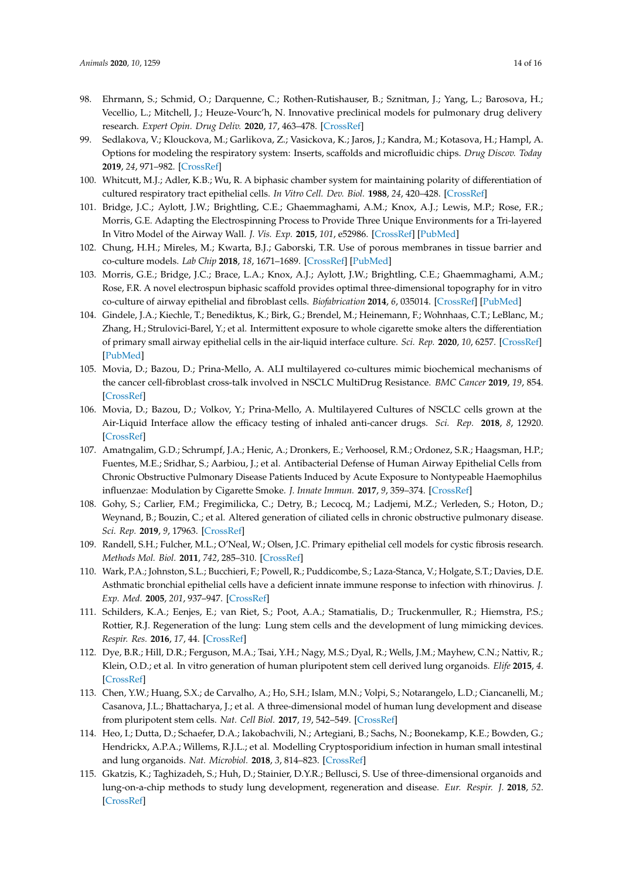- <span id="page-13-0"></span>98. Ehrmann, S.; Schmid, O.; Darquenne, C.; Rothen-Rutishauser, B.; Sznitman, J.; Yang, L.; Barosova, H.; Vecellio, L.; Mitchell, J.; Heuze-Vourc'h, N. Innovative preclinical models for pulmonary drug delivery research. *Expert Opin. Drug Deliv.* **2020**, *17*, 463–478. [\[CrossRef\]](http://dx.doi.org/10.1080/17425247.2020.1730807)
- <span id="page-13-1"></span>99. Sedlakova, V.; Klouckova, M.; Garlikova, Z.; Vasickova, K.; Jaros, J.; Kandra, M.; Kotasova, H.; Hampl, A. Options for modeling the respiratory system: Inserts, scaffolds and microfluidic chips. *Drug Discov. Today* **2019**, *24*, 971–982. [\[CrossRef\]](http://dx.doi.org/10.1016/j.drudis.2019.03.006)
- <span id="page-13-2"></span>100. Whitcutt, M.J.; Adler, K.B.; Wu, R. A biphasic chamber system for maintaining polarity of differentiation of cultured respiratory tract epithelial cells. *In Vitro Cell. Dev. Biol.* **1988**, *24*, 420–428. [\[CrossRef\]](http://dx.doi.org/10.1007/BF02628493)
- <span id="page-13-3"></span>101. Bridge, J.C.; Aylott, J.W.; Brightling, C.E.; Ghaemmaghami, A.M.; Knox, A.J.; Lewis, M.P.; Rose, F.R.; Morris, G.E. Adapting the Electrospinning Process to Provide Three Unique Environments for a Tri-layered In Vitro Model of the Airway Wall. *J. Vis. Exp.* **2015**, *101*, e52986. [\[CrossRef\]](http://dx.doi.org/10.3791/52986) [\[PubMed\]](http://www.ncbi.nlm.nih.gov/pubmed/26275100)
- 102. Chung, H.H.; Mireles, M.; Kwarta, B.J.; Gaborski, T.R. Use of porous membranes in tissue barrier and co-culture models. *Lab Chip* **2018**, *18*, 1671–1689. [\[CrossRef\]](http://dx.doi.org/10.1039/C7LC01248A) [\[PubMed\]](http://www.ncbi.nlm.nih.gov/pubmed/29845145)
- <span id="page-13-4"></span>103. Morris, G.E.; Bridge, J.C.; Brace, L.A.; Knox, A.J.; Aylott, J.W.; Brightling, C.E.; Ghaemmaghami, A.M.; Rose, F.R. A novel electrospun biphasic scaffold provides optimal three-dimensional topography for in vitro co-culture of airway epithelial and fibroblast cells. *Biofabrication* **2014**, *6*, 035014. [\[CrossRef\]](http://dx.doi.org/10.1088/1758-5082/6/3/035014) [\[PubMed\]](http://www.ncbi.nlm.nih.gov/pubmed/24925127)
- <span id="page-13-5"></span>104. Gindele, J.A.; Kiechle, T.; Benediktus, K.; Birk, G.; Brendel, M.; Heinemann, F.; Wohnhaas, C.T.; LeBlanc, M.; Zhang, H.; Strulovici-Barel, Y.; et al. Intermittent exposure to whole cigarette smoke alters the differentiation of primary small airway epithelial cells in the air-liquid interface culture. *Sci. Rep.* **2020**, *10*, 6257. [\[CrossRef\]](http://dx.doi.org/10.1038/s41598-020-63345-5) [\[PubMed\]](http://www.ncbi.nlm.nih.gov/pubmed/32277131)
- <span id="page-13-6"></span>105. Movia, D.; Bazou, D.; Prina-Mello, A. ALI multilayered co-cultures mimic biochemical mechanisms of the cancer cell-fibroblast cross-talk involved in NSCLC MultiDrug Resistance. *BMC Cancer* **2019**, *19*, 854. [\[CrossRef\]](http://dx.doi.org/10.1186/s12885-019-6038-x)
- <span id="page-13-7"></span>106. Movia, D.; Bazou, D.; Volkov, Y.; Prina-Mello, A. Multilayered Cultures of NSCLC cells grown at the Air-Liquid Interface allow the efficacy testing of inhaled anti-cancer drugs. *Sci. Rep.* **2018**, *8*, 12920. [\[CrossRef\]](http://dx.doi.org/10.1038/s41598-018-31332-6)
- <span id="page-13-8"></span>107. Amatngalim, G.D.; Schrumpf, J.A.; Henic, A.; Dronkers, E.; Verhoosel, R.M.; Ordonez, S.R.; Haagsman, H.P.; Fuentes, M.E.; Sridhar, S.; Aarbiou, J.; et al. Antibacterial Defense of Human Airway Epithelial Cells from Chronic Obstructive Pulmonary Disease Patients Induced by Acute Exposure to Nontypeable Haemophilus influenzae: Modulation by Cigarette Smoke. *J. Innate Immun.* **2017**, *9*, 359–374. [\[CrossRef\]](http://dx.doi.org/10.1159/000455193)
- 108. Gohy, S.; Carlier, F.M.; Fregimilicka, C.; Detry, B.; Lecocq, M.; Ladjemi, M.Z.; Verleden, S.; Hoton, D.; Weynand, B.; Bouzin, C.; et al. Altered generation of ciliated cells in chronic obstructive pulmonary disease. *Sci. Rep.* **2019**, *9*, 17963. [\[CrossRef\]](http://dx.doi.org/10.1038/s41598-019-54292-x)
- 109. Randell, S.H.; Fulcher, M.L.; O'Neal, W.; Olsen, J.C. Primary epithelial cell models for cystic fibrosis research. *Methods Mol. Biol.* **2011**, *742*, 285–310. [\[CrossRef\]](http://dx.doi.org/10.1007/978-1-61779-120-8_18)
- <span id="page-13-9"></span>110. Wark, P.A.; Johnston, S.L.; Bucchieri, F.; Powell, R.; Puddicombe, S.; Laza-Stanca, V.; Holgate, S.T.; Davies, D.E. Asthmatic bronchial epithelial cells have a deficient innate immune response to infection with rhinovirus. *J. Exp. Med.* **2005**, *201*, 937–947. [\[CrossRef\]](http://dx.doi.org/10.1084/jem.20041901)
- <span id="page-13-10"></span>111. Schilders, K.A.; Eenjes, E.; van Riet, S.; Poot, A.A.; Stamatialis, D.; Truckenmuller, R.; Hiemstra, P.S.; Rottier, R.J. Regeneration of the lung: Lung stem cells and the development of lung mimicking devices. *Respir. Res.* **2016**, *17*, 44. [\[CrossRef\]](http://dx.doi.org/10.1186/s12931-016-0358-z)
- <span id="page-13-11"></span>112. Dye, B.R.; Hill, D.R.; Ferguson, M.A.; Tsai, Y.H.; Nagy, M.S.; Dyal, R.; Wells, J.M.; Mayhew, C.N.; Nattiv, R.; Klein, O.D.; et al. In vitro generation of human pluripotent stem cell derived lung organoids. *Elife* **2015**, *4*. [\[CrossRef\]](http://dx.doi.org/10.7554/eLife.05098)
- <span id="page-13-12"></span>113. Chen, Y.W.; Huang, S.X.; de Carvalho, A.; Ho, S.H.; Islam, M.N.; Volpi, S.; Notarangelo, L.D.; Ciancanelli, M.; Casanova, J.L.; Bhattacharya, J.; et al. A three-dimensional model of human lung development and disease from pluripotent stem cells. *Nat. Cell Biol.* **2017**, *19*, 542–549. [\[CrossRef\]](http://dx.doi.org/10.1038/ncb3510)
- <span id="page-13-13"></span>114. Heo, I.; Dutta, D.; Schaefer, D.A.; Iakobachvili, N.; Artegiani, B.; Sachs, N.; Boonekamp, K.E.; Bowden, G.; Hendrickx, A.P.A.; Willems, R.J.L.; et al. Modelling Cryptosporidium infection in human small intestinal and lung organoids. *Nat. Microbiol.* **2018**, *3*, 814–823. [\[CrossRef\]](http://dx.doi.org/10.1038/s41564-018-0177-8)
- <span id="page-13-14"></span>115. Gkatzis, K.; Taghizadeh, S.; Huh, D.; Stainier, D.Y.R.; Bellusci, S. Use of three-dimensional organoids and lung-on-a-chip methods to study lung development, regeneration and disease. *Eur. Respir. J.* **2018**, *52*. [\[CrossRef\]](http://dx.doi.org/10.1183/13993003.00876-2018)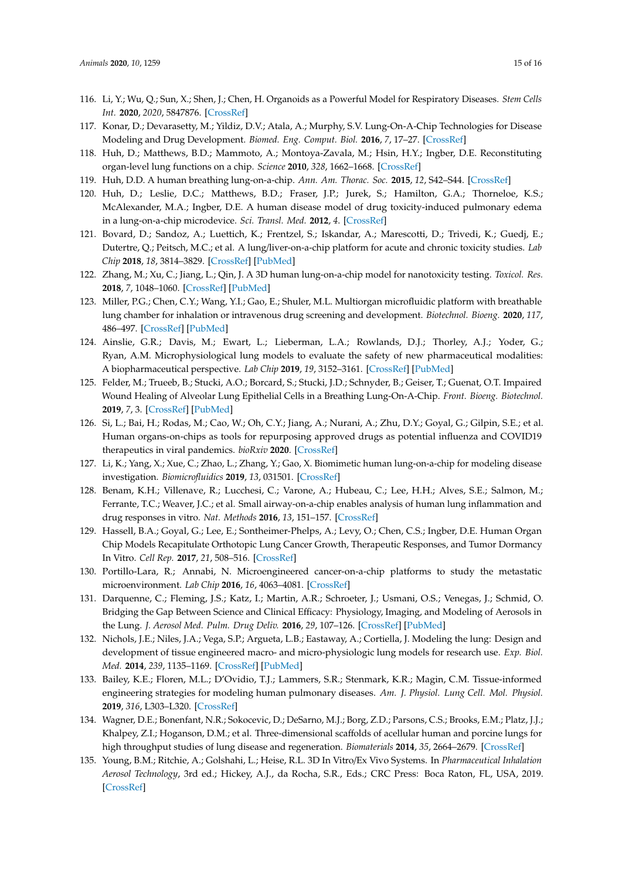- <span id="page-14-0"></span>116. Li, Y.; Wu, Q.; Sun, X.; Shen, J.; Chen, H. Organoids as a Powerful Model for Respiratory Diseases. *Stem Cells Int.* **2020**, *2020*, 5847876. [\[CrossRef\]](http://dx.doi.org/10.1155/2020/5847876)
- <span id="page-14-1"></span>117. Konar, D.; Devarasetty, M.; Yildiz, D.V.; Atala, A.; Murphy, S.V. Lung-On-A-Chip Technologies for Disease Modeling and Drug Development. *Biomed. Eng. Comput. Biol.* **2016**, *7*, 17–27. [\[CrossRef\]](http://dx.doi.org/10.4137/BECB.S34252)
- <span id="page-14-2"></span>118. Huh, D.; Matthews, B.D.; Mammoto, A.; Montoya-Zavala, M.; Hsin, H.Y.; Ingber, D.E. Reconstituting organ-level lung functions on a chip. *Science* **2010**, *328*, 1662–1668. [\[CrossRef\]](http://dx.doi.org/10.1126/science.1188302)
- 119. Huh, D.D. A human breathing lung-on-a-chip. *Ann. Am. Thorac. Soc.* **2015**, *12*, S42–S44. [\[CrossRef\]](http://dx.doi.org/10.1513/AnnalsATS.201410-442MG)
- <span id="page-14-3"></span>120. Huh, D.; Leslie, D.C.; Matthews, B.D.; Fraser, J.P.; Jurek, S.; Hamilton, G.A.; Thorneloe, K.S.; McAlexander, M.A.; Ingber, D.E. A human disease model of drug toxicity-induced pulmonary edema in a lung-on-a-chip microdevice. *Sci. Transl. Med.* **2012**, *4*. [\[CrossRef\]](http://dx.doi.org/10.1126/scitranslmed.3004249)
- <span id="page-14-4"></span>121. Bovard, D.; Sandoz, A.; Luettich, K.; Frentzel, S.; Iskandar, A.; Marescotti, D.; Trivedi, K.; Guedj, E.; Dutertre, Q.; Peitsch, M.C.; et al. A lung/liver-on-a-chip platform for acute and chronic toxicity studies. *Lab Chip* **2018**, *18*, 3814–3829. [\[CrossRef\]](http://dx.doi.org/10.1039/C8LC01029C) [\[PubMed\]](http://www.ncbi.nlm.nih.gov/pubmed/30460365)
- <span id="page-14-5"></span>122. Zhang, M.; Xu, C.; Jiang, L.; Qin, J. A 3D human lung-on-a-chip model for nanotoxicity testing. *Toxicol. Res.* **2018**, *7*, 1048–1060. [\[CrossRef\]](http://dx.doi.org/10.1039/C8TX00156A) [\[PubMed\]](http://www.ncbi.nlm.nih.gov/pubmed/30510678)
- <span id="page-14-6"></span>123. Miller, P.G.; Chen, C.Y.; Wang, Y.I.; Gao, E.; Shuler, M.L. Multiorgan microfluidic platform with breathable lung chamber for inhalation or intravenous drug screening and development. *Biotechnol. Bioeng.* **2020**, *117*, 486–497. [\[CrossRef\]](http://dx.doi.org/10.1002/bit.27188) [\[PubMed\]](http://www.ncbi.nlm.nih.gov/pubmed/31608985)
- 124. Ainslie, G.R.; Davis, M.; Ewart, L.; Lieberman, L.A.; Rowlands, D.J.; Thorley, A.J.; Yoder, G.; Ryan, A.M. Microphysiological lung models to evaluate the safety of new pharmaceutical modalities: A biopharmaceutical perspective. *Lab Chip* **2019**, *19*, 3152–3161. [\[CrossRef\]](http://dx.doi.org/10.1039/C9LC00492K) [\[PubMed\]](http://www.ncbi.nlm.nih.gov/pubmed/31469131)
- <span id="page-14-7"></span>125. Felder, M.; Trueeb, B.; Stucki, A.O.; Borcard, S.; Stucki, J.D.; Schnyder, B.; Geiser, T.; Guenat, O.T. Impaired Wound Healing of Alveolar Lung Epithelial Cells in a Breathing Lung-On-A-Chip. *Front. Bioeng. Biotechnol.* **2019**, *7*, 3. [\[CrossRef\]](http://dx.doi.org/10.3389/fbioe.2019.00003) [\[PubMed\]](http://www.ncbi.nlm.nih.gov/pubmed/30746362)
- <span id="page-14-8"></span>126. Si, L.; Bai, H.; Rodas, M.; Cao, W.; Oh, C.Y.; Jiang, A.; Nurani, A.; Zhu, D.Y.; Goyal, G.; Gilpin, S.E.; et al. Human organs-on-chips as tools for repurposing approved drugs as potential influenza and COVID19 therapeutics in viral pandemics. *bioRxiv* **2020**. [\[CrossRef\]](http://dx.doi.org/10.1101/2020.04.13.039917)
- <span id="page-14-9"></span>127. Li, K.; Yang, X.; Xue, C.; Zhao, L.; Zhang, Y.; Gao, X. Biomimetic human lung-on-a-chip for modeling disease investigation. *Biomicrofluidics* **2019**, *13*, 031501. [\[CrossRef\]](http://dx.doi.org/10.1063/1.5100070)
- <span id="page-14-10"></span>128. Benam, K.H.; Villenave, R.; Lucchesi, C.; Varone, A.; Hubeau, C.; Lee, H.H.; Alves, S.E.; Salmon, M.; Ferrante, T.C.; Weaver, J.C.; et al. Small airway-on-a-chip enables analysis of human lung inflammation and drug responses in vitro. *Nat. Methods* **2016**, *13*, 151–157. [\[CrossRef\]](http://dx.doi.org/10.1038/nmeth.3697)
- <span id="page-14-11"></span>129. Hassell, B.A.; Goyal, G.; Lee, E.; Sontheimer-Phelps, A.; Levy, O.; Chen, C.S.; Ingber, D.E. Human Organ Chip Models Recapitulate Orthotopic Lung Cancer Growth, Therapeutic Responses, and Tumor Dormancy In Vitro. *Cell Rep.* **2017**, *21*, 508–516. [\[CrossRef\]](http://dx.doi.org/10.1016/j.celrep.2017.09.043)
- <span id="page-14-12"></span>130. Portillo-Lara, R.; Annabi, N. Microengineered cancer-on-a-chip platforms to study the metastatic microenvironment. *Lab Chip* **2016**, *16*, 4063–4081. [\[CrossRef\]](http://dx.doi.org/10.1039/C6LC00718J)
- <span id="page-14-13"></span>131. Darquenne, C.; Fleming, J.S.; Katz, I.; Martin, A.R.; Schroeter, J.; Usmani, O.S.; Venegas, J.; Schmid, O. Bridging the Gap Between Science and Clinical Efficacy: Physiology, Imaging, and Modeling of Aerosols in the Lung. *J. Aerosol Med. Pulm. Drug Deliv.* **2016**, *29*, 107–126. [\[CrossRef\]](http://dx.doi.org/10.1089/jamp.2015.1270) [\[PubMed\]](http://www.ncbi.nlm.nih.gov/pubmed/26829187)
- <span id="page-14-14"></span>132. Nichols, J.E.; Niles, J.A.; Vega, S.P.; Argueta, L.B.; Eastaway, A.; Cortiella, J. Modeling the lung: Design and development of tissue engineered macro- and micro-physiologic lung models for research use. *Exp. Biol. Med.* **2014**, *239*, 1135–1169. [\[CrossRef\]](http://dx.doi.org/10.1177/1535370214536679) [\[PubMed\]](http://www.ncbi.nlm.nih.gov/pubmed/24962174)
- <span id="page-14-15"></span>133. Bailey, K.E.; Floren, M.L.; D'Ovidio, T.J.; Lammers, S.R.; Stenmark, K.R.; Magin, C.M. Tissue-informed engineering strategies for modeling human pulmonary diseases. *Am. J. Physiol. Lung Cell. Mol. Physiol.* **2019**, *316*, L303–L320. [\[CrossRef\]](http://dx.doi.org/10.1152/ajplung.00353.2018)
- <span id="page-14-16"></span>134. Wagner, D.E.; Bonenfant, N.R.; Sokocevic, D.; DeSarno, M.J.; Borg, Z.D.; Parsons, C.S.; Brooks, E.M.; Platz, J.J.; Khalpey, Z.I.; Hoganson, D.M.; et al. Three-dimensional scaffolds of acellular human and porcine lungs for high throughput studies of lung disease and regeneration. *Biomaterials* **2014**, *35*, 2664–2679. [\[CrossRef\]](http://dx.doi.org/10.1016/j.biomaterials.2013.11.078)
- <span id="page-14-17"></span>135. Young, B.M.; Ritchie, A.; Golshahi, L.; Heise, R.L. 3D In Vitro/Ex Vivo Systems. In *Pharmaceutical Inhalation Aerosol Technology*, 3rd ed.; Hickey, A.J., da Rocha, S.R., Eds.; CRC Press: Boca Raton, FL, USA, 2019. [\[CrossRef\]](http://dx.doi.org/10.1201/9780429055201)